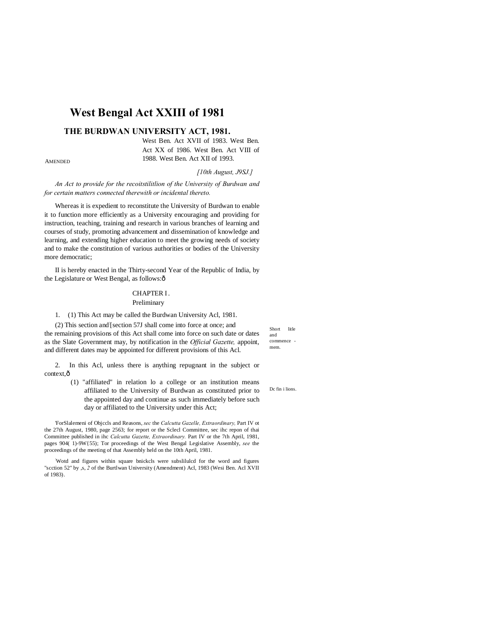## **West Bengal Act XXIII of 1981**

### **THE BURDWAN UNIVERSITY ACT, 1981.**

West Ben. Act XVII of 1983. West Ben. Act XX of 1986. West Ben. Act VIII of 1988. West Ben. Act XII of 1993.

**AMENDED** 

*[10th August, J9SJ.]*

*An Act to provide for the recoitstilitlion of the University of Burdwan and for certain matters connected therewith or incidental thereto.*

Whereas it is expedient to reconstitute the University of Burdwan to enable it to function more efficiently as a University encouraging and providing for instruction, teaching, training and research in various branches of learning and courses of study, promoting advancement and dissemination of knowledge and learning, and extending higher education to meet the growing needs of society and to make the constitution of various authorities or bodies of the University more democratic;

II is hereby enacted in the Thirty-second Year of the Republic of India, by the Legislature or West Bengal, as follows: $\hat{o}$ 

### CHAPTER I .

Preliminary

1. (1) This Act may be called the Burdwan University Acl, 1981.

(2) This section and: [section 57J shall come into force at once; and the remaining provisions of this Act shall come into force on such date or dates as the Slate Government may, by notification in the *Official Gazette,* appoint, and different dates may be appointed for different provisions of this Acl.

Short litle and commence mem.

2. In this Acl, unless there is anything repugnant in the subject or context, $\hat{o}$ 

> (1) "affiliated" in relation lo a college or an institution means affiliated to the University of Burdwan as constituted prior to the appointed day and continue as such immediately before such day or affiliated to the University under this Act;

'ForSlalemeni of Objccls and Reasons, *sec* the *Calcutta Gazelle, Extraordinary,* Part IV ot the 27th August, 1980, page 2563; for report or the Sclecl Committee, sec ihc repon of thai Committee published in ihc *Calcutta Gazette, Extraordinary.* Part IV or the 7th April, 1981, pages 904( 1)-9W{55); Tor proceedings of the West Bengal Legislative Assembly, *see* the proceedings of the meeting of that Assembly held on the 10th April, 1981.

: Wotd and figures within square bnickcls were subslilulcd for the word and figures "scction 52" by ,s, *2* of the Burtlwan University (Amendment) Acl, 1983 (Wesi Ben. Acl XVII of 1983).

Dc fin i lions.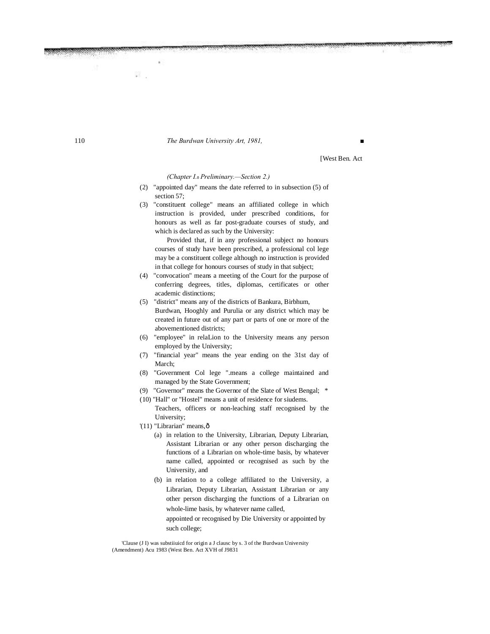#### 110 *The Burdwan University Art, 1981,*

[West Ben. Act

*(Chapter I.*—*Preliminary.—Section 2.)*

- (2) "appointed day" means the date referred to in subsection (5) of section 57;
- (3) "constituent college" means an affiliated college in which instruction is provided, under prescribed conditions, for honours as well as far post-graduate courses of study, and which is declared as such by the University:

Provided that, if in any professional subject no honours courses of study have been prescribed, a professional col lege may be a constituent college although no instruction is provided in that college for honours courses of study in that subject;

- (4) "convocation" means a meeting of the Court for the purpose of conferring degrees, titles, diplomas, certificates or other academic distinctions;
- (5) "district" means any of the districts of Bankura, Birbhum, Burdwan, Hooghly and Purulia or any district which may be created in future out of any part or parts of one or more of the abovementioned districts;
- (6) "employee" in relaLion to the University means any person employed by the University;
- (7) "financial year" means the year ending on the 31st day of March;
- (8) "Government Col lege ".means a college maintained and managed by the State Government;
- (9) "Governor" means the Governor of the Slate of West Bengal; \*
- (10) "Hall" or "Hostel" means a unit of residence for siudems.
- Teachers, officers or non-leaching staff recognised by the University;
- '(11) "Librarian" means, ô
	- (a) in relation to the University, Librarian, Deputy Librarian, Assistant Librarian or any other person discharging the functions of a Librarian on whole-time basis, by whatever name called, appointed or recognised as such by the University, and
	- (b) in relation to a college affiliated to the University, a Librarian, Deputy Librarian, Assistant Librarian or any other person discharging the functions of a Librarian on whole-lime basis, by whatever name called,

appointed or recognised by Die University or appointed by such college;

'Clause (J I) was substiiuicd for origin a J clausc by s. 3 of the Burdwan University (Amendment) Acu 1983 (West Ben. Act XVH of J9831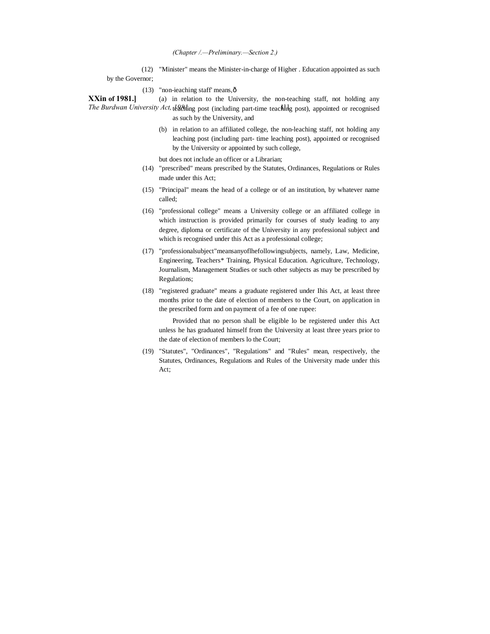*(Chapter /.—Preliminary.—Section 2.)*

(12) "Minister" means the Minister-in-charge of Higher . Education appointed as such by the Governor;

(13) "non-ieaching staff' means, $\hat{\text{o}}$ 

**XXin of 1981.]** The Burdwan University Act, teller ling post (including part-time teaching post), appointed or recognised (a) in relation to the University, the non-teaching staff, not holding any as such by the University, and

> (b) in relation to an affiliated college, the non-leaching staff, not holding any leaching post (including part- time leaching post), appointed or recognised by the University or appointed by such college,

but does not include an officer or a Librarian;

- (14) "prescribed" means prescribed by the Statutes, Ordinances, Regulations or Rules made under this Act;
- (15) "Principal" means the head of a college or of an institution, by whatever name called;
- (16) "professional college" means a University college or an affiliated college in which instruction is provided primarily for courses of study leading to any degree, diploma or certificate of the University in any professional subject and which is recognised under this Act as a professional college;
- (17) "professionalsubject"meansanyoflhefollowingsubjects, namely, Law, Medicine, Engineering, Teachers\* Training, Physical Education. Agriculture, Technology, Journalism, Management Studies or such other subjects as may be prescribed by Regulations;
- (18) "registered graduate" means a graduate registered under Ihis Act, at least three months prior to the date of election of members to the Court, on application in the prescribed form and on payment of a fee of one rupee:

Provided that no person shall be eligible lo be registered under this Act unless he has graduated himself from the University at least three years prior to the date of election of members lo the Court;

(19) "Statutes", "Ordinances", "Regulations" and "Rules" mean, respectively, the Statutes, Ordinances, Regulations and Rules of the University made under this Act;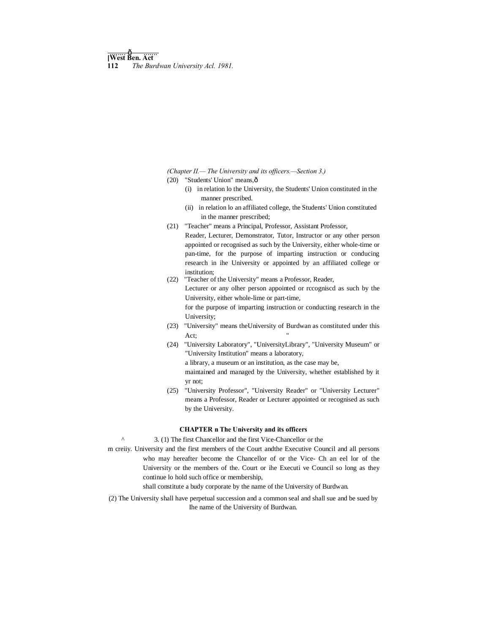#### *(Chapter II.— The University and its officers.—Section 3.)*

(20) "Students' Union" means, ô

- (i) in relation lo the University, the Students' Union constituted in the manner prescribed.
- (ii) in relation lo an affiliated college, the Students' Union constituted in the manner prescribed;
- (21) "Teacher" means a Principal, Professor, Assistant Professor,
	- Reader, Lecturer, Demonstrator, Tutor, Instructor or any other person appointed or recognised as such by the University, either whole-time or pan-time, for the purpose of imparting instruction or conducing research in ihe University or appointed by an affiliated college or institution;
- (22) "Teacher of the University" means a Professor, Reader,

Lecturer or any olher person appointed or rccogniscd as such by the University, either whole-lime or part-time,

for the purpose of imparting instruction or conducting research in the University;

- (23) "University" means theUniversity of Burdwan as constituted under this Act;  $\blacksquare$
- (24) "University Laboratory", "UniversityLibrary", "University Museum" or "University Institution" means a laboratory,

a library, a museum or an institution, as the case may be,

maintained and managed by the University, whether established by it yr not;

(25) "University Professor", "University Reader" or "University Lecturer" means a Professor, Reader or Lecturer appointed or recognised as such by the University.

#### **CHAPTER n The University and its officers**

^ 3. (1) The first Chancellor and the first Vice-Chancellor or the

m creiiy. University and the first members of the Court andthe Executive Council and all persons who may hereafter become the Chancellor of or the Vice- Ch an eel lor of the University or the members of the. Court or ihe Executi ve Council so long as they continue lo hold such office or membership,

shall constitute a budy corporate by the name of the University of Burdwan.

(2) The University shall have perpetual succession and a common seal and shall sue and be sued by Ihe name of the University of Burdwan.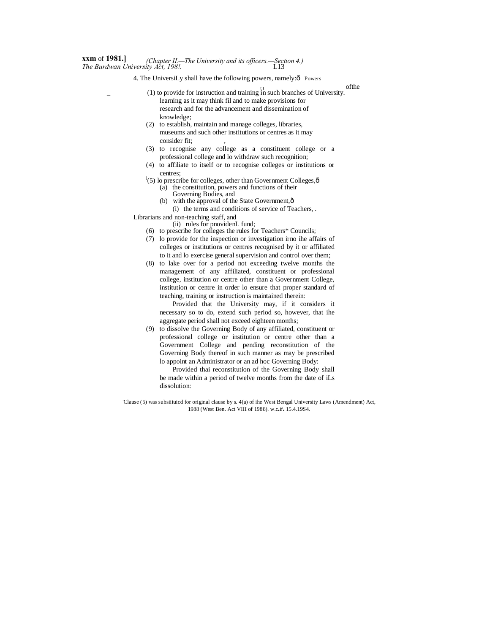#### **xxm** of **1981.]** *The Burdwan University Act, 198!.* L13 *(Chapter II.—The University and its officers.—Section 4.)*

4. The UniversiLy shall have the following powers, namely: $\hat{o}$  Powers

- (1) to provide for instruction and training  $\int_0^t$  such branches of University. learning as it may think fil and to make provisions for research and for the advancement and dissemination of knowledge;
	- (2) to establish, maintain and manage colleges, libraries, museums and such other institutions or centres as it may consider fit;
	- (3) to recognise any college as a constituent college or a professional college and lo withdraw such recognition;
	- (4) to affiliate to itself or to recognise colleges or institutions or
	- centres;<br> $\frac{1}{5}$  lo prescribe for colleges, other than Government Colleges, ô (a) the constitution, powers and functions of their
		- Governing Bodies, and
		- (b) with the approval of the State Government, $\hat{o}$
		- (i) the terms and conditions of service of Teachers, .
	- Librarians and non-teaching staff, and
		- (ii) rules for pnovidenL fund;
		- (6) to prescribe for colleges the rules for Teachers\* Councils;
		- (7) lo provide for the inspection or investigation irno ihe affairs of colleges or institutions or centres recognised by it or affiliated to it and lo exercise general supervision and control over them;
		- (8) to lake over for a period not exceeding twelve months the management of any affiliated, constituent or professional college, institution or centre other than a Government College, institution or centre in order lo ensure that proper standard of teaching, training or instruction is maintained therein:

Provided that the University may, if it considers it necessary so to do, extend such period so, however, that ihe aggregate period shall not exceed eighteen months;

(9) to dissolve the Governing Body of any affiliated, constituent or professional college or institution or centre other than a Government College and pending reconstitution of the Governing Body thereof in such manner as may be prescribed lo appoint an Administrator or an ad hoc Governing Body:

Provided thai reconstitution of the Governing Body shall be made within a period of twelve months from the date of iLs dissolution:

'Clause (5) was subsiiiuicd for original clause by s. 4(a) of ihe West Bengal University Laws (Amendment) Act, 1988 (West Ben. Act VIII of 1988). w.c**.r.** 15.4.19S4.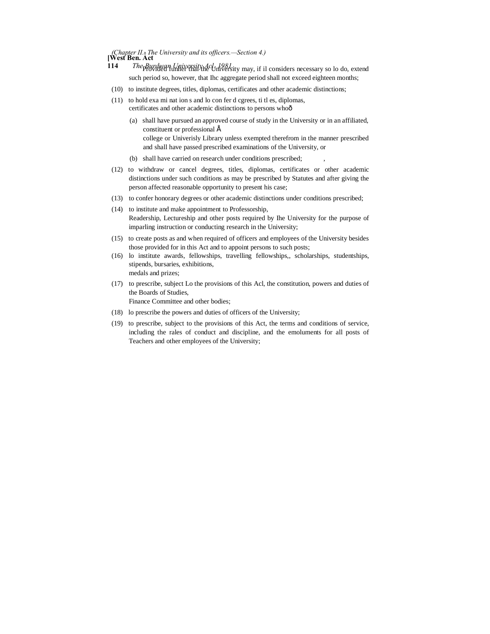**114** *The Burdwan University Acl. 1981.* Provided funher thai the University may, if il considers necessary so lo do, extend such period so, however, that Ihc aggregate period shall not exceed eighteen months;

- (10) to institute degrees, titles, diplomas, certificates and other academic distinctions;
- (11) to hold exa mi nat ion s and lo con fer d cgrees, ti tl es, diplomas, certificates and other academic distinctions to persons whoô
	- (a) shall have pursued an approved course of study in the University or in an affiliated, constituent or professional  $\acute{E}$ college or Univerisly Library unless exempted therefrom in the manner prescribed

and shall have passed prescribed examinations of the University, or

(b) shall have carried on research under conditions prescribed;

- (12) to withdraw or cancel degrees, titles, diplomas, certificates or other academic distinctions under such conditions as may be prescribed by Statutes and after giving the person affected reasonable opportunity to present his case;
- (13) to confer honorary degrees or other academic distinctions under conditions prescribed;
- (14) to institute and make appointment to Professorship, Readership, Lectureship and other posts required by Ihe University for the purpose of imparling instruction or conducting research in the University;
- (15) to create posts as and when required of officers and employees of the University besides those provided for in this Act and to appoint persons to such posts;
- (16) lo institute awards, fellowships, travelling fellowships,, scholarships, studentships, stipends, bursaries, exhibitions, medals and prizes;
- (17) to prescribe, subject Lo the provisions of this Acl, the constitution, powers and duties of the Boards of Studies,

Finance Committee and other bodies;

- (18) lo prescribe the powers and duties of officers of the University;
- (19) to prescribe, subject to the provisions of this Act, the terms and conditions of service, including the rales of conduct and discipline, and the emoluments for all posts of Teachers and other employees of the University;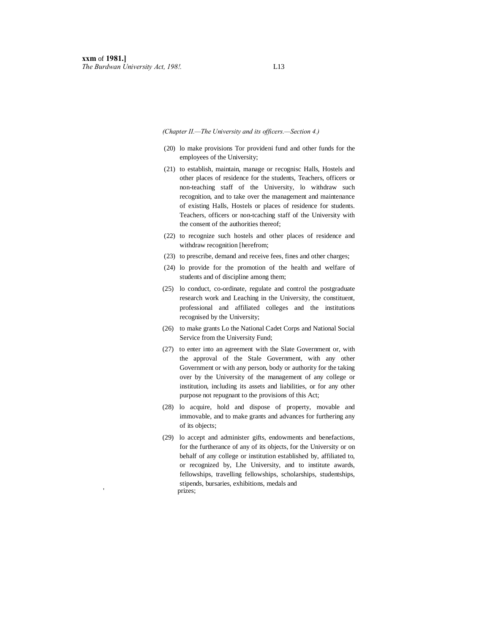*(Chapter II.—The University and its officers.—Section 4.)*

- (20) lo make provisions Tor provideni fund and other funds for the employees of the University;
- (21) to establish, maintain, manage or recognisc Halls, Hostels and other places of residence for the students, Teachers, officers or non-teaching staff of the University, lo withdraw such recognition, and to take over the management and maintenance of existing Halls, Hostels or places of residence for students. Teachers, officers or non-tcaching staff of the University with the consent of the authorities thereof;
- (22) to recognize such hostels and other places of residence and withdraw recognition [herefrom;
- (23) to prescribe, demand and receive fees, fines and other charges;
- (24) lo provide for the promotion of the health and welfare of students and of discipline among them;
- (25) lo conduct, co-ordinate, regulate and control the postgraduate research work and Leaching in the University, the constituent, professional and affiliated colleges and the institutions recognised by the University;
- (26) to make grants Lo the National Cadet Corps and National Social Service from the University Fund;
- (27) to enter into an agreement with the Slate Government or, with the approval of the Stale Government, with any other Government or with any person, body or authority for the taking over by the University of the management of any college or institution, including its assets and liabilities, or for any other purpose not repugnant to the provisions of this Act;
- (28) lo acquire, hold and dispose of property, movable and immovable, and to make grants and advances for furthering any of its objects;
- (29) lo accept and administer gifts, endowments and benefactions, for the furtherance of any of its objects, for the University or on behalf of any college or institution established by, affiliated to, or recognized by, Lhe University, and to institute awards, fellowships, travelling fellowships, scholarships, studentships, stipends, bursaries, exhibitions, medals and prizes;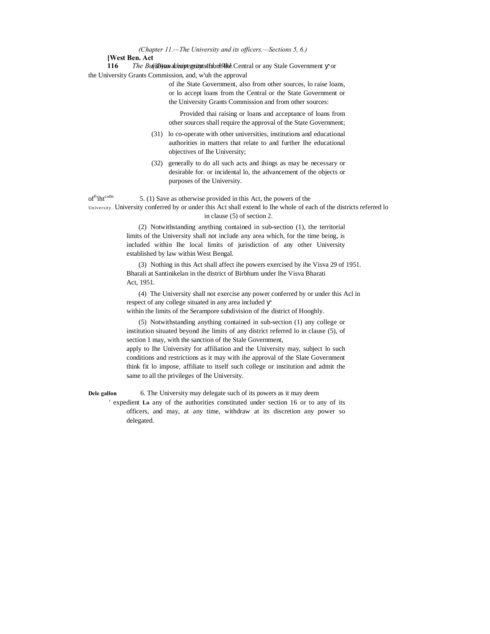**[West Ben. Act**

116 *The Bu*(30) was a compensional from *DBL*. Central or any Stale Government or the University Grants Commission, and, w'uh the approval

> of ihe State Government, also from other sources, lo raise loans, or lo accept loans from the Central or the State Government or the University Grants Commission and from other sources:

> Provided thai raising or loans and acceptance of loans from other sources shall require the approval of the State Government;

- (31) lo co-operate with other universities, institutions and educational authorities in matters that relate to and further Ihe educational objectives of Ihe University;
- (32) generally to do all such acts and ihings as may be necessary or desirable for. or incidental lo, the advancement of the objects or purposes of the University.

 $\mathrm{of}^{\mathrm{F}}$ 'iht $^{\mathrm{c}}$ 5. (1) Save as otherwise provided in this Act, the powers of the

Un iversity. University conferred by or under this Act shall extend lo Ihe whole of each of the districts referred lo in clause (5) of section 2.

> (2) Notwithstanding anything contained in sub-section (1), the territorial limits of the University shall not include any area which, for the time being, is included within Ihe local limits of jurisdiction of any other University established by law within West Bengal.

(3) Nothing in this Act shall affect ihe powers exercised by ihe Visva 29 of 1951. Bharali at Santinikelan in the district of Birbhum under Ihe Visva Bharati Act, 1951.

(4) The University shall not exercise any power conferred by or under this Acl in respect of any college situated in any area included

within the limits of the Serampore subdivision of the district of Hooghly.

(5) Notwithstanding anything contained in sub-section (1) any college or institution situated beyond ihe limits of any district referred lo in clause (5), of section 1 may, with the sanction of the Stale Government,

apply to Ihe University for affiliation and the University may, subject lo such conditions and restrictions as it may with ihe approval of the Slate Government think fit lo impose, affiliate to itself such college or institution and admit the same to all the privileges of Ihe University.

**Dele gallon** 6. The University may delegate such of its powers as it may deem

' expedient **Lo** any of the authorities constituted under section 16 or to any of its officers, and may, at any time, withdraw at its discretion any power so delegated.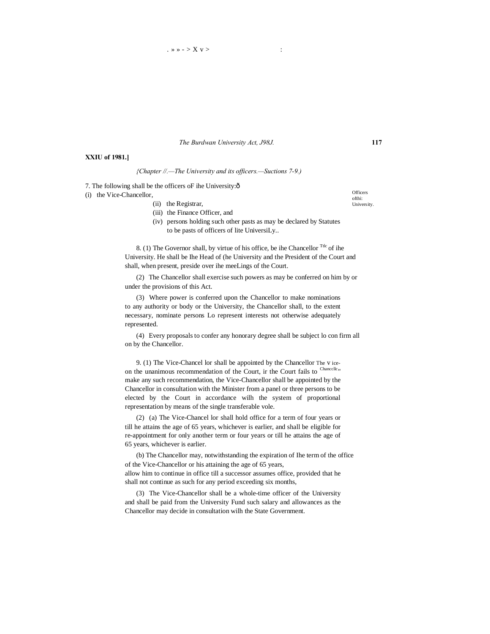. » » - > X v > :

#### *The Burdwan University Act, J98J.* **117**

#### **XXIU of 1981.]**

#### *{Chapter //.—The University and its officers.—Suctions 7-9.)*

7. The following shall be the officers oF ihe University: $\hat{o}$ 

(i) the Vice-Chancellor,

- (ii) the Registrar,
- (iii) the Finance Officer, and
- (iv) persons holding such other pasts as may be declared by Statutes to be pasts of officers of lite UniversiLy..

8. (1) The Governor shall, by virtue of his office, be ihe Chancellor  $^{Ttlc}$  of ihe University. He shall be Ihe Head of (he University and the President of the Court and shall, when present, preside over ihe meeLings of the Court.

(2) The Chancellor shall exercise such powers as may be conferred on him by or under the provisions of this Act.

(3) Where power is conferred upon the Chancellor to make nominations to any authority or body or the University, the Chancellor shall, to the extent necessary, nominate persons Lo represent interests not otherwise adequately represented.

(4) Every proposals to confer any honorary degree shall be subject lo con firm all on by the Chancellor.

9. (1) The Vice-Chancel lor shall be appointed by the Chancellor The v iceon the unanimous recommendation of the Court, ir the Court fails to Chancelle" make any such recommendation, the Vice-Chancellor shall be appointed by the Chancellor in consultation with the Minister from a panel or three persons to be elected by the Court in accordance wilh the system of proportional representation by means of the single transferable vole.

(2) (a) The Vice-Chancel lor shall hold office for a term of four years or till he attains the age of 65 years, whichever is earlier, and shall be eligible for re-appointment for only another term or four years or till he attains the age of 65 years, whichever is earlier.

(b) The Chancellor may, notwithstanding the expiration of Ihe term of the office of the Vice-Chancellor or his attaining the age of 65 years, allow him to continue in office till a successor assumes office, provided that he shall not continue as such for any period exceeding six months,

(3) The Vice-Chancellor shall be a whole-time officer of the University and shall be paid from the University Fund such salary and allowances as the Chancellor may decide in consultation wilh the State Government.

**Officers** ofthi: University.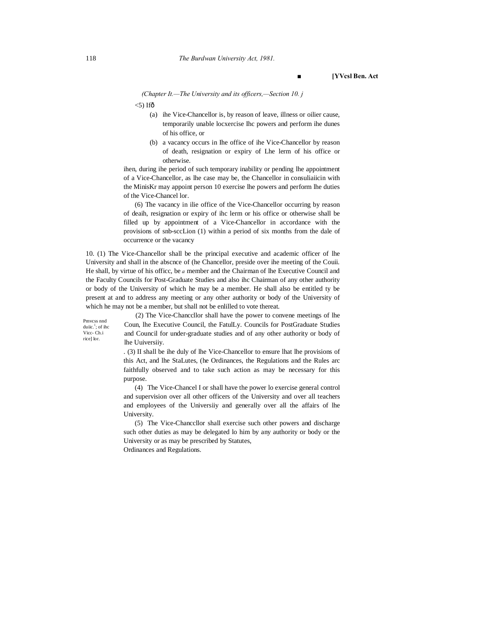*(Chapter It.—The University and its officers,—Section 10. j*

- $<$ 5) Ifô
	- (a) ihe Vice-Chancellor is, by reason of leave, illness or oilier cause, temporarily unable locxercise Ihc powers and perform ihe dunes of his office, or
	- (b) a vacancy occurs in Ihe office of ihe Vice-Chancellor by reason of death, resignation or expiry of Lhe lerm of his office or otherwise.

ihen, during ihe period of such temporary inability or pending lhe appointment of a Vice-Chancellor, as lhe case may be, the Chancellor in consuliaiicin with the MinisKr may appoint person 10 exercise lhe powers and perform lhe duties of the Vice-Chancel lor.

(6) The vacancy in ilie office of the Vice-Chancellor occurring by reason of deaih, resignation or expiry of ihc lerm or his office or otherwise shall be filled up by appointment of a Vice-Chancellor in accordance with the provisions of snb-sccLion (1) within a period of six months from the dale of occurrence or the vacancy

10. (1) The Vice-Chancellor shall be the principal executive and academic officer of lhe University and shall in the abscnce of (he Chancellor, preside over ihe meeting of the Couii. He shall, by virtue of his officc, be *a* member and the Chairman of lhe Executive Council and the Faculty Councils for Post-Graduate Studies and also ihc Chairman of any other authority or body of the University of which he may be a member. He shall also be entitled ty be present at and to address any meeting or any other authority or body of the University of which he may not be a member, but shall not be enlilled to vote thereat.

Pmvcss nnd duiic.<sup>1</sup>; of ihc<br>Vicc- Ch.i rice] lor.

(2) The Vice-Chanccllor shall have the power to convene meetings of lhe Coun, lhe Executive Council, the FatulLy. Councils for PostGraduate Studies and Council for under-graduate studies and of any other authority or body of lhe Uuiversiiy.

. (3) II shall be ihe duly of lhe Vice-Chancellor to ensure lhat lhe provisions of this Act, and lhe StaLutes, (he Ordinances, the Regulations and the Rules arc faithfully observed and to take such action as may be necessary for this purpose.

(4) The Vice-Chancel I or shall have the power lo exercise general control and supervision over all other officers of the University and over all teachers and employees of the Universiiy and generally over all the affairs of lhe University.

(5) The Vice-Chanccllor shall exercise such other powers and discharge such other duties as may be delegated lo him by any authority or body or the University or as may be prescribed by Statutes,

Ordinances and Regulations.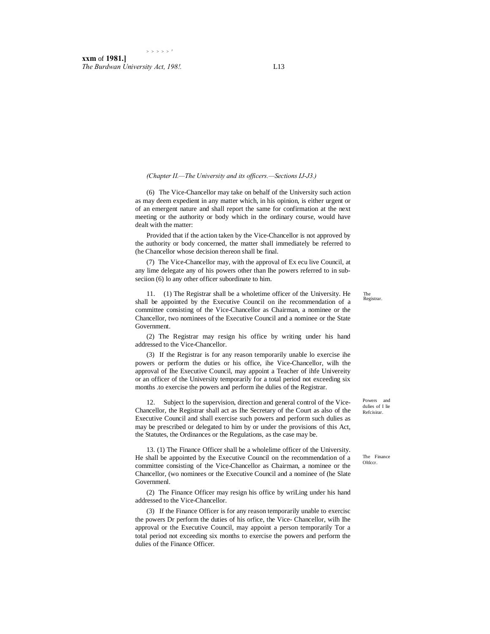#### *(Chapter II.—The University and its officers.—Sections IJ-J3.)*

(6) The Vice-Chancellor may take on behalf of the University such action as may deem expedient in any matter which, in his opinion, is either urgent or of an emergent nature and shall report the same for confirmation at the next meeting or the authority or body which in the ordinary course, would have dealt with the matter:

Provided that if the action taken by the Vice-Chancellor is not approved by the authority or body concerned, the matter shall immediately be referred to (he Chancellor whose decision thereon shall be final.

(7) The Vice-Chancellor may, with the approval of Ex ecu live Council, at any lime delegate any of his powers other than Ihe powers referred to in subseciion (6) lo any other officer subordinate to him.

11. (1) The Registrar shall be a wholetime officer of the University. He shall be appointed by the Executive Council on ihe recommendation of a committee consisting of the Vice-Chancellor as Chairman, a nominee or the Chancellor, two nominees of the Executive Council and a nominee or the State Government.

(2) The Registrar may resign his office by writing under his hand addressed to the Vice-Chancellor.

(3) If the Registrar is for any reason temporarily unable lo exercise ihe powers or perform the duties or his office, ihe Vice-Chancellor, wilh the approval of Ihe Executive Council, may appoint a Teacher of ihfe Univereity or an officer of the University temporarily for a total period not exceeding six months .to exercise the powers and perform ihe dulies of the Registrar.

12. Subject lo the supervision, direction and general control of the Vice-Chancellor, the Registrar shall act as Ihe Secretary of the Court as also of the Executive Council and shall exercise such powers and perform such dulies as may be prescribed or delegated to him by or under the provisions of this Act, the Statutes, the Ordinances or the Regulations, as the case may be.

13. (1) The Finance Officer shall be a wholelime officer of the University. He shall be appointed by the Executive Council on the recommendation of a committee consisting of the Vice-Chancellor as Chairman, a nominee or the Chancellor, (wo nominees or the Executive Council and a nominee of (he Slate Governmenl.

(2) The Finance Officer may resign his office by wriLing under his hand addressed to the Vice-Chancellor.

(3) If the Finance Officer is for any reason temporarily unable to exercisc the powers Dr perform the duties of his orfice, the Vice- Chancellor, wilh Ihe approval or the Executive Council, may appoint a person temporarily Tor a total period not exceeding six months to exercise the powers and perform the dulies of the Finance Officer.

Powers and dulies of I lie Refcisirar.

The Finance .<br>Oltlccr.

The Registrar.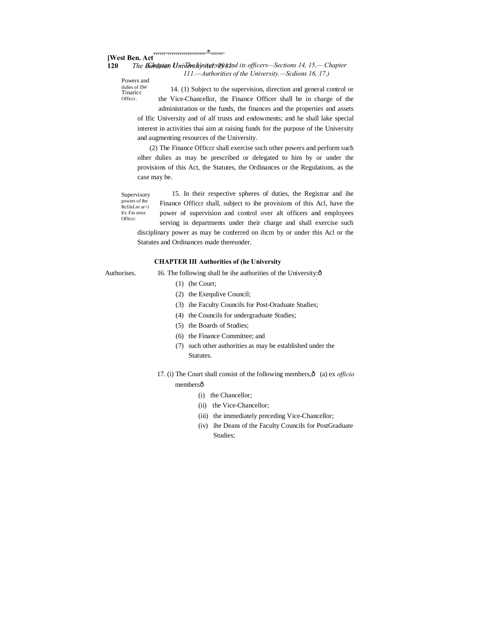#### **[West Ben. Act 120** *The Burdwan University Acl. 1981. (Chapter 11—The University cind its officers—Sections 14, 15,— Chapter*  ...... ................... \*...... *111.—Authorities of the University.—Scdions 16, 17.)*

Powers and dulies of l]W Tinaricc Officcr.

14. (1) Subject to the supervision, direction and general control or the Vice-Chancellor, the Finance Officer shall be in charge of the

administration or the funds, the finances and the properties and assets of Ific University and of alf trusts and endowments; and he shall lake special interest in activities thai aim at raising funds for the purpose of the University and augmenting resources of the University.

(2) The Finance Officcr shall exercise such other powers and perform such olher dulies as may be prescribed or delegated to him by or under the provisions of this Act, the Statutes, the Ordinances or the Regulations, as the case may be.

Supervisory powers of ihe RcfiisLnr ar<i lt\c Fin mice Officcr.

15. In their respective spheres of duties, the Registrar and ihe Finance Officcr shall, subject to ihe provisions of this Acl, have the power of supervision and control over alt officers and employees serving in departments under their charge and shall exercise such

disciplinary power as may be conferred on ihcm by or under this Acl or the Statutes and Ordinances made thereunder.

#### **CHAPTER III Authorities of (he University**

Authorises. 16. The following shall be ihe authorities of the University: $\hat{o}$ 

- (1) (he Court;
- (2) the Exequlive Council;
- (3) ihe Faculty Councils for Post-Oraduate Studies;
- (4) the Councils for undergraduate Studies;
- (5) the Boards of Studies;
- (6) the Finance Committee; and
- (7) such other authorities as may be established under the Statutes.
- 17. (i) The Court shall consist of the following members,— (a) ex *officio* membersô
	- (i) the Chancellor;
	- (ii) the Vice-Chancellor;
	- (iii) the immediately preceding Vice-Chancellor;
	- (iv) ihe Deans of the Faculty Councils for PostGraduate Studies;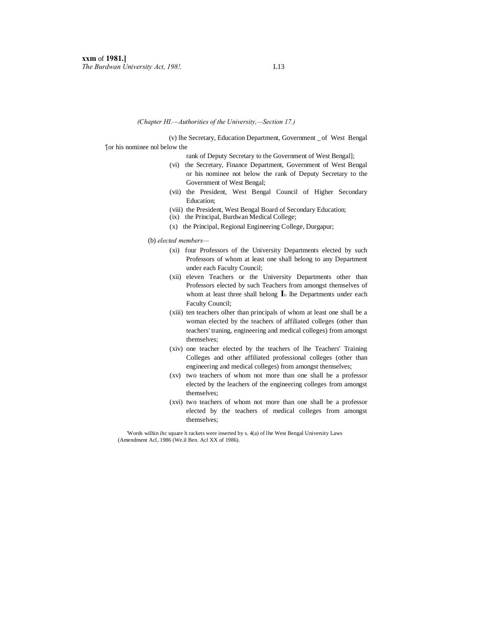#### *(Chapter HI.—Authorities of the University,—Section 17.)*

(v) lhe Secretary, Education Department, Government \_ of West Bengal '[or his nominee nol below the

rank of Deputy Secretary to the Government of West Bengal];

- (vi) the Secretary, Finance Department, Government of West Bengal or his nominee not below the rank of Deputy Secretary to the Government of West Bengal;
- (vii) the President, West Bengal Council of Higher Secondary Education;
- (viii) the President, West Bengal Board of Secondary Education;
- (ix) the Principal, Burdwan Medical College;
- (x) the Principal, Regional Engineering College, Durgapur;

(b) *elected members—*

- (xi) four Professors of the University Departments elected by such Professors of whom at least one shall belong to any Department under each Faculty Council;
- (xii) eleven Teachers or the University Departments other than Professors elected by such Teachers from amongst themselves of whom at least three shall belong **I**<sub>D</sub> lhe Departments under each Faculty Council;
- (xiii) ten teachers olher than principals of whom at least one shall be a woman elected by the teachers of affiliated colleges (other than teachers' traning, engineering and medical colleges) from amongst themselves;
- (xiv) one teacher elected by the teachers of lhe Teachers' Training Colleges and other affiliated professional colleges (other than engineering and medical colleges) from amongst themselves;
- (xv) two teachers of whom not more than one shall be a professor elected by the leachers of the engineering colleges from amongst themselves;
- (xvi) two teachers of whom not more than one shall be a professor elected by the teachers of medical colleges from amongst themselves;

'Words wilhin ihc square h rackets were inserted by s. 4(a) of lhe West Bengal University Laws (Amendment Acl, 1986 (We.il Ben. Acl XX of 1986).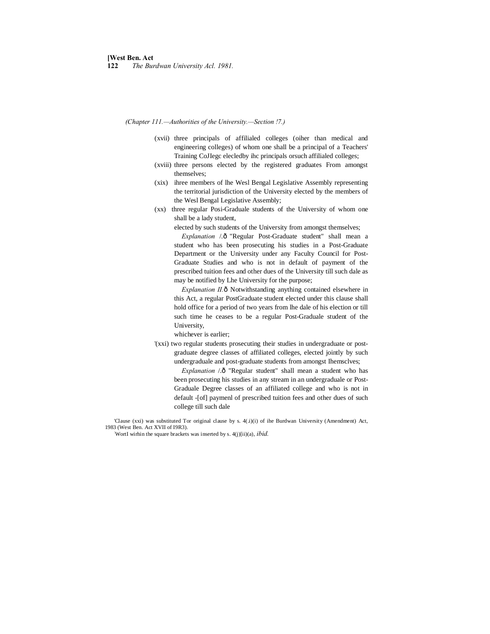*(Chapter 111.—Authorities of the University.—Section !7.)*

- (xvii) three principals of affilialed colleges (oiher than medical and engineering colleges) of whom one shall be a principal of a Teachers' Training CoJIegc elecledby ihc principals orsuch affilialed colleges;
- (xviii) three persons elected by the registered graduates From amongst themselves;
- (xix) ihree members of lhe Wesl Bengal Legislative Assembly representing the territorial jurisdiction of the University elected by the members of the Wesl Bengal Legislative Assembly;
- (xx) three regular Posi-Graduale students of the University of whom one shall be a lady student,

elected by such students of the University from amongst themselves;

*Explanation* /.ô "Regular Post-Graduate student" shall mean a student who has been prosecuting his studies in a Post-Graduate Department or the University under any Faculty Council for Post-Graduate Studies and who is not in default of payment of the prescribed tuition fees and other dues of the University till such dale as may be notified by Lhe University for the purpose;

*Explanation II.* $\hat{o}$  Notwithstanding anything contained elsewhere in this Act, a regular PostGraduate student elected under this clause shall hold office for a period of two years from lhe dale of his election or till such time he ceases to be a regular Post-Graduale student of the University,

whichever is earlier;

'(xxi) two regular students prosecuting their studies in undergraduate or postgraduate degree classes of affiliated colleges, elected jointly by such undergraduale and post-graduate students from amongst Ihemsclves;

*Explanation* /.ô "Regular student" shall mean a student who has been prosecuting his studies in any stream in an undergraduale or Post-Graduale Degree classes of an affiliated college and who is not in default -[of] paymenl of prescribed tuition fees and other dues of such college till such dale

'Clause (xxi) was substituted Tor original clause by s. 4(.i)(i) of ihe Burdwan University (Amendment) Act, 1983 (West Ben. Act XVII of I9R3).

: WortI wirhin the square brackets was inserted by s. 4(j)[ii)(a), *ibid.*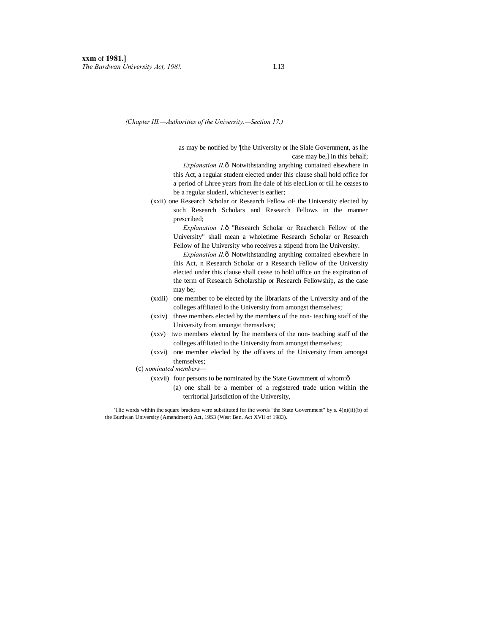*(Chapter III.—Authorities of the University.—Section 17.)*

as may be notified by '[the University or lhe Slale Government, as lhe case may be,] in this behalf;

*Explanation II.* $\delta$  Notwithstanding anything contained elsewhere in this Act, a regular student elected under Ihis clause shall hold office for a period of Lhree years from lhe dale of his elecLion or till he ceases to be a regular sludenl, whichever is earlier;

(xxii) one Research Scholar or Research Fellow oF the University elected by such Research Scholars and Research Fellows in the manner prescribed;

> *Explanation 1.* $\hat{o}$  "Research Scholar or Reacherch Fellow of the University" shall mean a wholetime Research Scholar or Research Fellow of lhe University who receives a stipend from lhe University.

> *Explanation II.* ô Notwithstanding anything contained elsewhere in ihis Act, n Research Scholar or a Research Fellow of the University elected under this clause shall cease to hold office on the expiration of the term of Research Scholarship or Research Fellowship, as the case may be;

- (xxiii) one member to be elected by the librarians of the University and of the colleges affiliated lo the University from amongst themselves;
- (xxiv) three members elected by the members of the non- teaching staff of the University from amongst themselves;
- (xxv) two members elected by lhe members of the non- teaching staff of the colleges affiliated to the University from amongst themselves;
- (xxvi) one member elecled by the officers of the University from amongst themselves;

(c) *nominated members—*

 $(xxvii)$  four persons to be nominated by the State Govmment of whom: $\hat{o}$ 

(a) one shall be a member of a registered trade union within the territorial jurisdiction of the University,

'Tlic words within ihc square brackets were substituted for ihc words "the State Government" by s. 4(n)(ii)(b) of the Burdwan University (Amendment) Act, 19S3 (West Ben. Act XVil of 1983).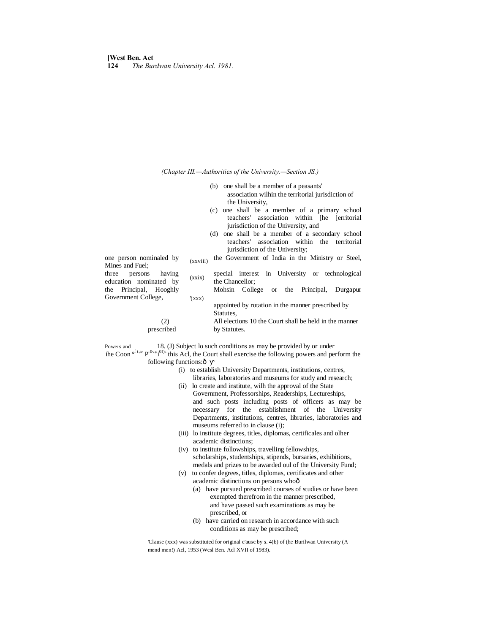*(Chapter III.—Authorities of the University.—Section JS.)*

- (b) one shall be a member of a peasants' association wilhin the territorial jurisdiction of the University,
- (c) one shall be a member of a primary school teachers' association within [he [erritorial jurisdiction of the University, and
- (d) one shall be a member of a secondary school teachers' association within the territorial jurisdiction of the University;

| one person nominaled by<br>(xxviii)<br>Mines and Fuel;         | the Government of India in the Ministry or Steel,                  |
|----------------------------------------------------------------|--------------------------------------------------------------------|
| three<br>having<br>persons<br>(xxix)<br>education nominated by | special interest in University or technological<br>the Chancellor; |
| the Principal, Hooghly                                         | Mohsin College or the Principal,<br>Durgapur                       |
| Government College,<br>(xxx)                                   |                                                                    |
|                                                                | appointed by rotation in the manner prescribed by                  |
|                                                                | Statutes.                                                          |
| (2)                                                            | All elections 10 the Court shall be held in the manner             |
| prescribed                                                     | by Statutes.                                                       |

Powers and 18. (J) Subject lo such conditions as may be provided by or under

ihe Coon  $\circ$ <sup>f tie</sup> P<sup>r0v<sub>81</sub>0I<sub>)</sub>s this Acl, the Court shall exercise the following powers and perform the</sup> following functions: $\hat{o}$ 

- (i) to establish University Departments, institutions, centres, libraries, laboratories and museums for study and research;
- (ii) lo create and institute, wilh the approval of the State Government, Professorships, Readerships, Lectureships, and such posts including posts of officers as may be necessary for the establishment of the University Departments, institutions, centres, libraries, laboratories and museums referred to in clause (i);
- (iii) lo institute degrees, titles, diplomas, certificales and olher academic distinctions;
- (iv) to institute followships, travelling fellowships, scholarships, studentships, stipends, bursaries, exhibitions, medals and prizes to be awarded oul of the University Fund;
- (v) to confer degrees, titles, diplomas, certificates and other academic distinctions on persons who—
	- (a) have pursued prescribed courses of studies or have been exempted therefrom in the manner prescribed, and have passed such examinations as may be prescribed, or
	- (b) have carried on research in accordance with such conditions as may be prescribed;

'Clause (xxx) was substituted for original c'ausc by s. 4(b) of (he Burilwan University (A mend men!) Acl, 1953 (Wcsl Ben. Acl XVII of 1983).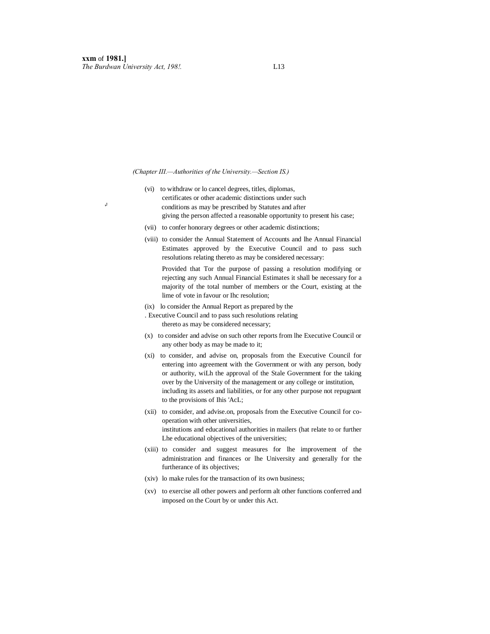$\mathbf{r}$ 

#### *(Chapter III.—Authorities of the University.—Section IS.)*

- (vi) to withdraw or lo cancel degrees, titles, diplomas, certificates or other academic distinctions under such conditions as may be prescribed by Statutes and after giving the person affected a reasonable opportunity to present his case;
- (vii) to confer honorary degrees or other academic distinctions;
- (viii) to consider the Annual Statement of Accounts and lhe Annual Financial Estimates approved by the Executive Council and to pass such resolutions relating thereto as may be considered necessary:

Provided that Tor the purpose of passing a resolution modifying or rejecting any such Annual Financial Estimates it shall be necessary for a majority of the total number of members or the Court, existing at the lime of vote in favour or Ihc resolution;

- (ix) lo consider the Annual Report as prepared by the
- . Executive Council and to pass such resolutions relating thereto as may be considered necessary;
- (x) to consider and advise on such other reports from lhe Executive Council or any other body as may be made to it;
- (xi) to consider, and advise on, proposals from the Executive Council for entering into agreement with the Government or with any person, body or authority, wiLh the approval of the Stale Government for the taking over by the University of the management or any college or institution, including its assets and liabilities, or for any other purpose not repugnant to the provisions of Ihis 'AcL;
- (xii) to consider, and advise.on, proposals from the Executive Council for cooperation with other universities, institutions and educational authorities in mailers (hat relate to or further Lhe educational objectives of the universities;
- (xiii) to consider and suggest measures for lhe improvement of the administration and finances or lhe University and generally for the furtherance of its objectives;
- (xiv) lo make rules for the transaction of its own business;
- (xv) to exercise all other powers and perform alt other functions conferred and imposed on the Court by or under this Act.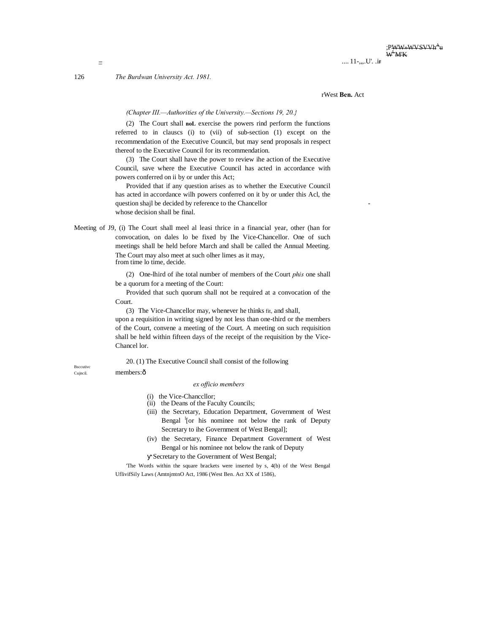126 *The Burdwan University Act. 1981.*

rWest **Ben.** Act

#### *(Chapter III.—Authorities of the University.—Sections 19, 20.}*

(2) The Court shall **noL** exercise the powers rind perform the functions referred to in clauscs (i) to (vii) of sub-section (1) except on the recommendation of the Executive Council, but may send proposals in respect thereof to the Executive Council for its recommendation.

(3) The Court shall have the power to review ihe action of the Executive Council, save where the Executive Council has acted in accordance with powers conferred on ii by or under this Act;

Provided that if any question arises as to whether the Executive Council has acted in accordance wilh powers conferred on it by or under this Acl, the question shajl be decided by reference to the Chancellor whose decision shall be final.

Meeting of J9, (i) The Court shall meel al leasi thrice in a financial year, other (han for convocation, on dales lo be fixed by Ihe Vice-Chancellor. One of such meetings shall be held before March and shall be called the Annual Meeting. The Court may also meet at such olher limes as it may, from time lo time, decide.

> (2) One-lhird of ihe total number of members of the Court *phis* one shall be a quorum for a meeting of the Court:

> Provided that such quorum shall not be required at a convocation of the Court.

(3) The Vice-Chancellor may, whenever he thinks fit, and shall,

upon a requisition in writing signed by not less than one-third or the members of the Court, convene a meeting of the Court. A meeting on such requisition shall be held within fifteen days of the receipt of the requisition by the Vice-Chancel lor.

20. (1) The Executive Council shall consist of the following Cuincil. members: ô

#### *ex officio members*

- (i) the Vice-Chanccllor;
- (ii) the Deans of the Faculty Councils;
- (iii) the Secretary, Education Department, Government of West Bengal <sup>1</sup>[or his nominee not below the rank of Deputy Secretary to ihe Government of West Bengal];
- (iv) the Secretary, Finance Department Government of West Bengal or his nominee not below the rank of Deputy

Secretary to the Government of West Bengal;

'The Words within the square brackets were inserted by s, 4(b) of the West Bengal UflivifSily Laws (AmtnjmtnO Act, 1986 (West Ben. Act XX of 1586),

Bsccutivc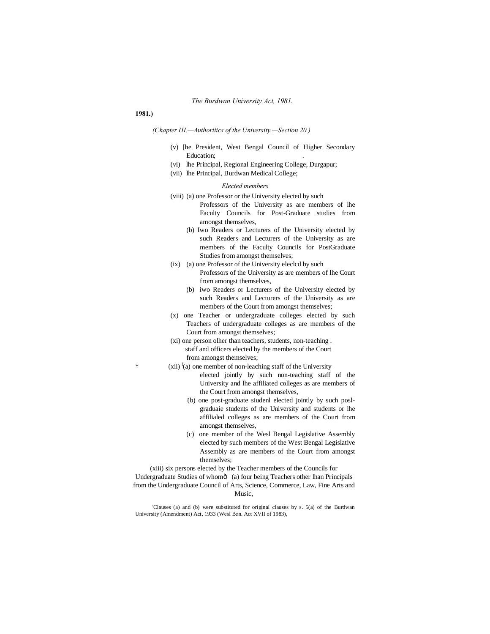**1981.)**

*(Chapter HI.—Authoriiics of the University.—Section 20.)*

- (v) [he President, West Bengal Council of Higher Secondary Education;
- (vi) lhe Principal, Regional Engineering College, Durgapur;
- (vii) lhe Principal, Burdwan Medical College;

#### *Elected members*

- (viii) (a) one Professor or the University elected by such Professors of the University as are members of lhe
	- Faculty Councils for Post-Graduate studies from amongst themselves, (b) Iwo Readers or Lecturers of the University elected by
	- such Readers and Lecturers of the University as are members of the Faculty Councils for PostGraduate Studies from amongst themselves;
- (ix) (a) one Professor of the University eleclcd by such
	- Professors of the University as are members of lhe Court from amongst themselves,
	- (b) iwo Readers or Lecturers of the University elected by such Readers and Lecturers of the University as are members of the Court from amongst themselves;
- (x) one Teacher or undergraduate colleges elected by such Teachers of undergraduate colleges as are members of the Court from amongst themselves;
- (xi) one person olher than teachers, students, non-teaching . staff and officers elected by the members of the Court from amongst themselves;
- \*  $(xii)^{1}(a)$  one member of non-leaching staff of the University elected jointly by such non-teaching staff of the University and lhe affiliated colleges as are members of the Court from amongst themselves,
	- '(b) one post-graduate siudenl elected jointly by such poslgraduaie students of the University and students or lhe affilialed colleges as are members of the Court from amongst themselves,
	- (c) one member of the Wesl Bengal Legislative Assembly elected by such members of the West Bengal Legislative Assembly as are members of the Court from amongst themselves;

(xiii) six persons elected by the Teacher members of the Councils for Undergraduate Studies of whomô (a) four being Teachers other lhan Principals from the Undergraduate Council of Arts, Science, Commerce, Law, Fine Arts and Music,

'Clauses (a) and (b) were substituted for original clauses by s. 5(a) of the Burdwan University (Amendment) Act, 1933 (Wesl Ben. Act XVII of 1983),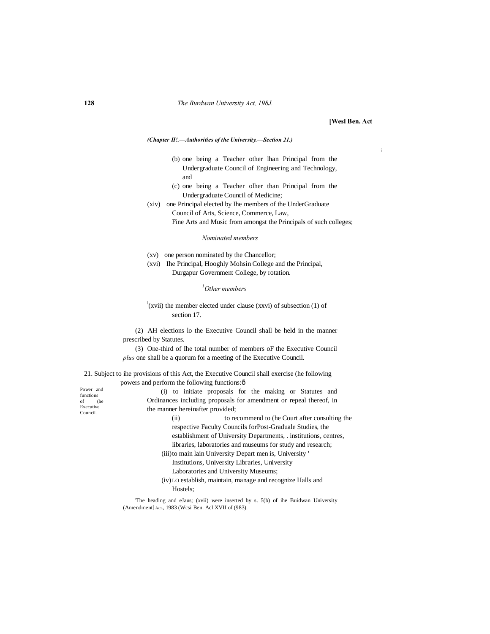#### **[Wesl Ben. Act**

**i**

*(Chapter II!.—Authorities of the University.—Section 21.)*

- (b) one being a Teacher other lhan Principal from the Undergraduate Council of Engineering and Technology, and
- (c) one being a Teacher olher than Principal from the Undergraduate Council of Medicine;
- (xiv) one Principal elected by Ihe members of the UnderGraduate Council of Arts, Science, Commerce, Law,

Fine Arts and Music from amongst the Principals of such colleges;

#### *Nominated members*

(xv) one person nominated by the Chancellor;

(xvi) Ihe Principal, Hooghly Mohsin College and the Principal, Durgapur Government College, by rotation.

#### *1 Other members*

 $\frac{1}{x}$ (xvii) the member elected under clause (xxvi) of subsection (1) of section 17.

(2) AH elections lo the Executive Council shall be held in the manner prescribed by Statutes.

(3) One-third of Ihe total number of members oF the Executive Council *plus* one shall be a quorum for a meeting of Ihe Executive Council.

21. Subject to ihe provisions of this Act, the Executive Council shall exercise (he following powers and perform the following functions: $\hat{o}$ 

Power and functions<br>of ( (he Executive Council.

(i) to initiate proposals for the making or Statutes and Ordinances including proposals for amendment or repeal thereof, in the manner hereinafter provided; (ii) to recommend to (he Court after consulting the respective Faculty Councils forPost-Graduale Studies, the establishment of University Departments, . institutions, centres, libraries, laboratories and museums for study and research; (iii)to main lain University Depart men is, University ' Institutions, University Libraries, University Laboratories and University Museums; (iv)LO establish, maintain, manage and recognize Halls and Hostels;

'The heading and eJaus; (xvii) were inserted by s. 5(b) of ihe Buidwan University (Amendment] ACL, 1983 (Wcsi Ben. Acl XVII of (983).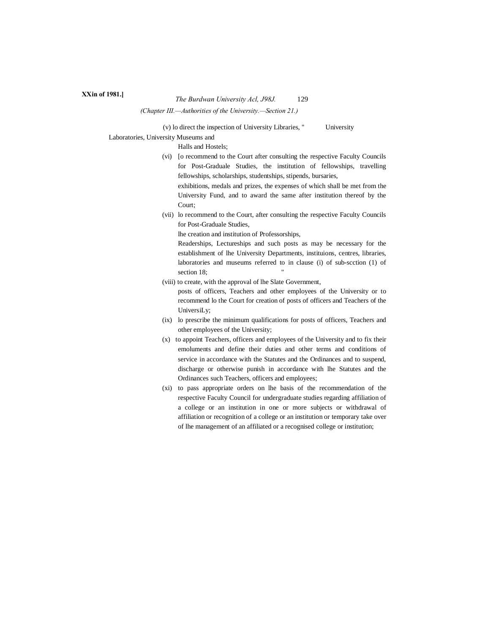### **XXin of 1981.**] *The Burdwan University Acl, J98J.* 129 *(Chapter III.—Authorities of the University.—Section 21.)*

(v) lo direct the inspection of University Libraries, " University

Laboratories, University Museums and

Halls and Hostels;

(vi) [o recommend to the Court after consulting the respective Faculty Councils for Post-Graduale Studies, the institution of fellowships, travelling fellowships, scholarships, studentships, stipends, bursaries,

exhibitions, medals and prizes, the expenses of which shall be met from the University Fund, and to award the same after institution thereof by the Court;

(vii) lo recommend to the Court, after consulting the respective Faculty Councils for Post-Graduale Studies,

lhe creation and institution of Professorships,

Readerships, Lectureships and such posts as may be necessary for the establishment of lhe University Departments, instituions, centres, libraries, laboratories and museums referred to in clause (i) of sub-scction (1) of section 18;

(viii) to create, with the approval of lhe Slate Government,

posts of officers, Teachers and other employees of the University or to recommend lo the Court for creation of posts of officers and Teachers of the UniversiLy;

- (ix) lo prescribe the minimum qualifications for posts of officers, Teachers and other employees of the University;
- (x) to appoint Teachers, officers and employees of the University and to fix their emoluments and define their duties and other terms and conditions of service in accordance with the Statutes and the Ordinances and to suspend, discharge or otherwise punish in accordance with lhe Statutes and the Ordinances such Teachers, officers and employees;
- (xi) to pass appropriate orders on lhe basis of the recommendation of the respective Faculty Council for undergraduate studies regarding affiliation of a college or an institution in one or more subjects or withdrawal of affiliation or recognition of a college or an institution or temporary take over of lhe management of an affiliated or a recognised college or institution;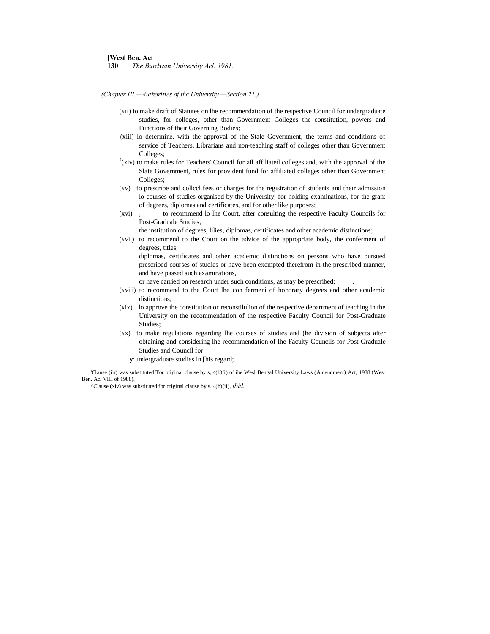#### **[West Ben. Act 130** *The Burdwan University Acl. 1981.*

*(Chapter III.—Authorities of the University.—Section 21.)*

- (xii) to make draft of Statutes on lhe recommendation of the respective Council for undergraduate studies, for colleges, other than Government Colleges the constitution, powers and Functions of their Governing Bodies;
- '(xiii) lo determine, with the approval of the Stale Government, the terms and conditions of service of Teachers, Librarians and non-teaching staff of colleges other than Government Colleges;
- $2$ (xiv) to make rules for Teachers' Council for ail affiliated colleges and, with the approval of the Slate Government, rules for provident fund for affiliated colleges other than Government Colleges;
- (xv) to prescribe and collccl fees or charges for the registration of students and their admission lo courses of studies organised by the University, for holding examinations, for the grant of degrees, diplomas and certificates, and for other like purposes;
- $(xvi)$ , to recommend lo lhe Court, after consulting the respective Faculty Councils for Post-Graduale Studies,

the institution of degrees, lilies, diplomas, certificates and other academic distinctions;

(xvii) to recommend to the Court on the advice of the appropriate body, the conferment of degrees, titles,

diplomas, certificates and other academic distinctions on persons who have pursued prescribed courses of studies or have been exempted therefrom in the prescribed manner, and have passed such examinations,

or have carried on research under such conditions, as may be prescribed;

- (xviii) to recommend to the Court lhe con fermeni of honorary degrees and other academic distinctions;
- (xix) lo approve the constitution or reconstilulion of the respective department of teaching in the University on the recommendation of the respective Faculty Council for Post-Graduate Studies;
- (xx) to make regulations regarding lhe courses of studies and (he division of subjects after obtaining and considering lhe recommendation of lhe Faculty Councils for Post-Graduale Studies and Council for

undergraduate studies in [his regard;

'Clause (iir) was substituted Tor original clause by s, 4(b)fi) of ihe Wesl Bengal University Laws (Amendment) Act, 1988 (West Ben. Acl VIII of 1988).

^Clause (xiv) was substituted for original clause by s. 4(b)(ii), *ibid.*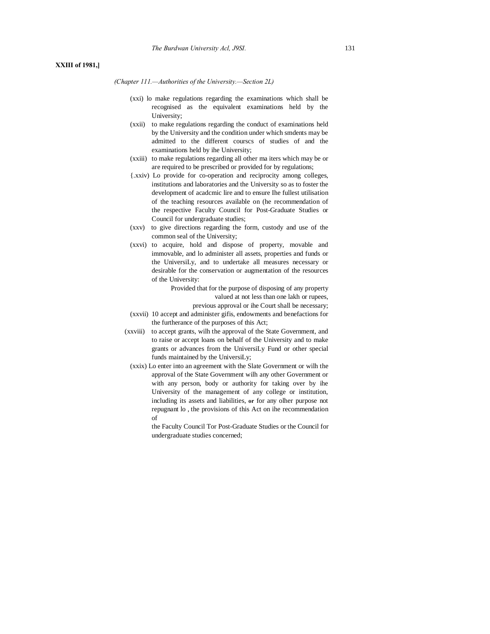#### *(Chapter 111.—Authorities of the University.—Section 2L)*

- (xxi) lo make regulations regarding the examinations which shall be recognised as the equivalent examinations held by the University;
- (xxii) to make regulations regarding the conduct of examinations held by the University and the condition under which smdents may be admitted to the different courscs of studies of and the examinations held by ihe University;
- (xxiii) to make regulations regarding all other ma iters which may be or are required to be prescribed or provided for by regulations;
- {.xxiv) Lo provide for co-operation and reciprocity among colleges, institutions and laboratories and the University so as to foster the development of acadcmic lire and to ensure Ihe fullest utilisation of the teaching resources available on (he recommendation of the respective Faculty Council for Post-Graduate Studies or Council for undergraduate studies;
- (xxv) to give directions regarding the form, custody and use of the common seal of the University;
- (xxvi) to acquire, hold and dispose of property, movable and immovable, and lo administer all assets, properties and funds or the UniversiLy, and to undertake all measures necessary or desirable for the conservation or augmentation of the resources of the University:
	- Provided that for the purpose of disposing of any property valued at not less than one lakh or rupees,
		- previous approval or ihe Court shall be necessary;
- (xxvii) 10 accept and administer gifis, endowments and benefactions for the furtherance of the purposes of this Act;
- (xxviii) to accept grants, wilh the approval of the State Government, and to raise or accept loans on behalf of the University and to make grants or advances from the UniversiLy Fund or other special funds maintained by the UniversiLy;
- (xxix) Lo enter into an agreement with the Slate Government or wilh the approval of the State Government wilh any other Government or with any person, body or authority for taking over by ihe University of the management of any college or institution, including its assets and liabilities, **or** for any olher purpose not repugnant lo , the provisions of this Act on ihe recommendation of

the Faculty Council Tor Post-Graduate Studies or the Council for undergraduate studies concerned;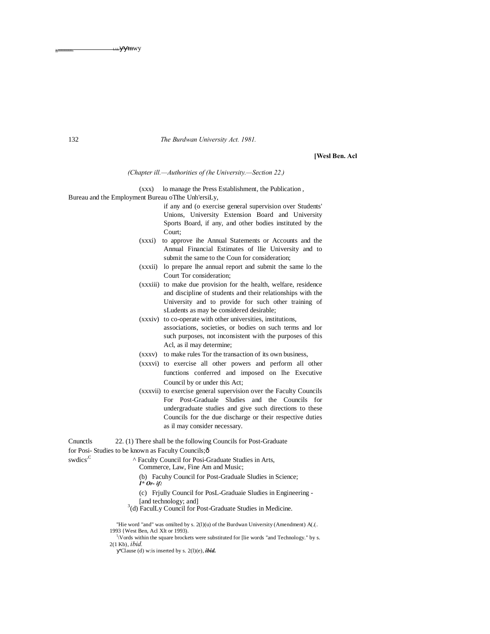#### 132 *The Burdwan University Act. 1981.*

#### **[Wesl Ben. Acl**

*(Chapter ill.—Authorities of (he University.—Section 22.)*

(xxx) lo manage the Press Establishment, the Publication ,

Bureau and the Employment Bureau oTIhe Unh'ersiLy,

..<br>mw

- if any and (o exercise general supervision over Students' Unions, University Extension Board and University Sports Board, if any, and other bodies instituted by the Court;
- (xxxi) to approve ihe Annual Statements or Accounts and the Annual Financial Estimates of llie University and to submit the same to the Coun for consideration;
- (xxxii) lo prepare lhe annual report and submit the same lo the Court Tor consideration;
- (xxxiii) to make due provision for the health, welfare, residence and discipline of students and their relationships with the University and to provide for such other training of sLudents as may be considered desirable;
- (xxxiv) to co-operate with other universities, institutions, associations, societies, or bodies on such terms and lor such purposes, not inconsistent with the purposes of this Acl, as il may determine;
- (xxxv) to make rules Tor the transaction of its own business,
- (xxxvi) to exercise all other powers and perform all other functions conferred and imposed on lhe Executive Council by or under this Act;
- (xxxvii) to exercise general supervision over the Faculty Councils For Post-Graduale Sludies and the Councils for undergraduate studies and give such directions to these Councils for the due discharge or their respective duties as il may consider necessary.

Cnunctls 22. (1) There shall be the following Councils for Post-Graduate for Posi- Studies to be known as Faculty Councils; $\hat{o}$ 

swdics<sup>,C</sup> ^ Faculty Council for Posi-Graduate Studies in Arts,

Commerce, Law, Fine Am and Music;

(b) Facuhy Council for Post-Graduale Sludies in Science; *I\* Or- if:*

(c) Frjully Council for PosL-Graduaie Sludies in Engineering -

- [and technology; and]
- $3$ (d) FaculLy Council for Post-Graduate Studies in Medicine.

''Hie word "and" was omilted by s. 2(l)(u) of the Burdwan University (Amendment) A(.(. 1993 {West Ben, Acl Xlt or 1993). !

\Vords within the square brockets were substituted for [lie words "and Technology." by s. 2(1 Kb), *ibid.*

'Clause (d) w:is inserted by s. 2(l)(e), *ibid.*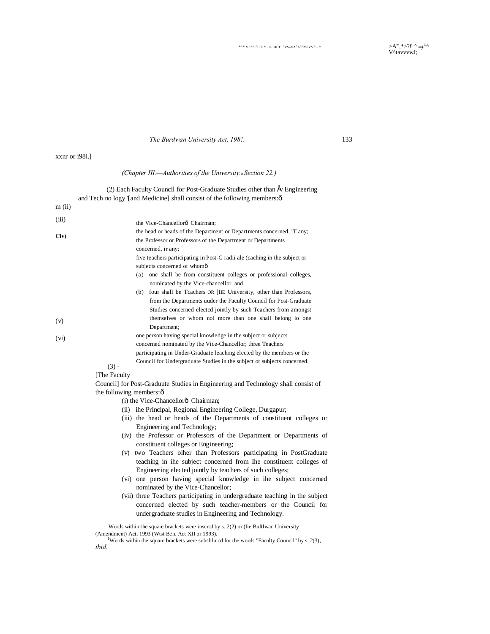*The Burdwan University Act, 198!.* 133

xxnr or i98i.]

m (ii)

*(Chapter III.—Authorities of the University.*—*Section 22.)*

### (2) Each Faculty Council for Post-Graduate Studies other than  $\acute{\textbf{B}}$  Engineering and Tech no logy '[and Medicine] shall consist of the following members: $\hat{o}$

| (iii) |                                                                                                               | the Vice-Chancellorô Chairman;                                                                                                 |
|-------|---------------------------------------------------------------------------------------------------------------|--------------------------------------------------------------------------------------------------------------------------------|
|       |                                                                                                               | the head or heads of the Department or Departments concerned, iT any;                                                          |
| Civ)  |                                                                                                               | the Professor or Professors of the Department or Departments                                                                   |
|       |                                                                                                               | concerned, ir any;                                                                                                             |
|       |                                                                                                               | five teachers participating in Post-G radii ale (caching in the subject or                                                     |
|       |                                                                                                               | subjects concerned of whomô                                                                                                    |
|       |                                                                                                               | (a) one shall be from constituent colleges or professional colleges,                                                           |
|       |                                                                                                               | nominated by the Vice-chancellor, and                                                                                          |
|       |                                                                                                               | (b) four shall be Tcachers OR [IIE University, other than Professors,                                                          |
|       |                                                                                                               | from the Departments uuder the Faculty Council for Post-Graduate                                                               |
|       |                                                                                                               | Studies concerned elected jointly by such Teachers from amongst                                                                |
|       |                                                                                                               | themselves or whom nol more than one shall belong lo one                                                                       |
| (v)   |                                                                                                               | Department;                                                                                                                    |
|       |                                                                                                               | one person having special knowledge in the subject or subjects                                                                 |
| (vi)  |                                                                                                               | concerned nominated by the Vice-Chancellor; three Teachers                                                                     |
|       |                                                                                                               | participating in Under-Graduate leaching elected by the members or the                                                         |
|       |                                                                                                               | Council for Undergraduate Studies in the subject or subjects concerned.                                                        |
|       | $(3) -$                                                                                                       |                                                                                                                                |
|       | [The Faculty                                                                                                  |                                                                                                                                |
|       | Council] for Post-Graduute Studies in Engineering and Technology shall consist of<br>the following members: ô |                                                                                                                                |
|       |                                                                                                               |                                                                                                                                |
|       |                                                                                                               | (i) the Vice-Chancellorô Chairman;                                                                                             |
|       |                                                                                                               | (ii) ihe Principal, Regional Engineering College, Durgapur;                                                                    |
|       |                                                                                                               | (iii) the head or heads of the Departments of constituent colleges or                                                          |
|       |                                                                                                               | Engineering and Technology;                                                                                                    |
|       |                                                                                                               | (iv) the Professor or Professors of the Department or Departments of                                                           |
|       |                                                                                                               | constituent colleges or Engineering;                                                                                           |
|       |                                                                                                               | (v) two Teachers olher than Professors participating in PostGraduate                                                           |
|       |                                                                                                               | teaching in ihe subject concerned from the constituent colleges of                                                             |
|       |                                                                                                               | Engineering elected jointly by teachers of such colleges;<br>(ii) and norson hoving apocial knowledge in its subject concerned |
|       |                                                                                                               |                                                                                                                                |

- (vi) one person having special knowledge in ihe subject concerned nominated by the Vice-Chancellor;
- (vii) three Teachers participating in undergraduate teaching in the subject concerned elected by such teacher-members or the Council for undergraduate studies in Engineering and Technology.

'Words within the square brackets were inscntJ by s. 2(2) or (lie Buftlwan University (Amendment) Act, 1993 (Wtst Ben. Act XII or 1993).

<sup>1</sup>Words within the square brackets were subslituicd for the words "Faculty Council" by s,  $2(3)$ , *ibid.*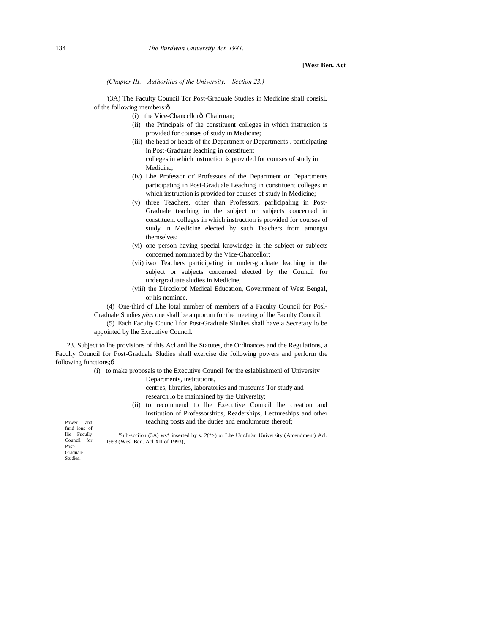*(Chapter III.—Authorities of the University.—Section 23.)*

'(3A) The Faculty Council Tor Post-Graduale Studies in Medicine shall consisL of the following members: $\hat{o}$ 

- (i) the Vice-Chancellorô Chairman;
- (ii) the Principals of the constituent colleges in which instruction is provided for courses of study in Medicine;
- (iii) the head or heads of the Department or Departments . participating in Post-Graduate leaching in constituent colleges in which instruction is provided for courses of study in Medicinc;
- (iv) Lhe Professor or' Professors of the Department or Departments participating in Post-Graduale Leaching in constituent colleges in which instruction is provided for courses of study in Medicine;
- (v) three Teachers, other than Professors, parlicipaling in Post-Graduale teaching in the subject or subjects concerned in constituent colleges in which instruction is provided for courses of study in Medicine elected by such Teachers from amongst themselves;
- (vi) one person having special knowledge in the subject or subjects concerned nominated by the Vice-Chancellor;
- (vii) iwo Teachers participating in under-graduate leaching in the subject or subjects concerned elected by the Council for undergraduate sludies in Medicine;
- (viii) the Dircclorof Medical Education, Government of West Bengal, or his nominee.

(4) One-third of Lhe lotal number of members of a Faculty Council for Posl-Graduale Studies *plus* one shall be a quorum for the meeting of lhe Faculty Council.

(5) Each Faculty Council for Post-Graduale Sludies shall have a Secretary lo be appointed by lhe Executive Council.

23. Subject to lhe provisions of this Acl and lhe Statutes, the Ordinances and the Regulations, a Faculty Council for Post-Graduale Sludies shall exercise die following powers and perform the following functions; $\hat{o}$ 

- (i) to make proposals to the Executive Council for the eslablishmenl of University
	- Departments, institutions,

centres, libraries, laboratories and museums Tor study and research lo be maintained by the University;

(ii) to recommend to lhe Executive Council lhe creation and institution of Professorships, Readerships, Lectureships and other teaching posts and the duties and emoluments thereof;

Power and fund ions of llie Fucully Council for Post-Graduale Studies.

'Sub-scciion (3A) ws\* inserted by s. 2(\*>) or Lhe UunJu'an University (Amendment) Acl. 1993 (Wesl Ben. Acl XII of 1993),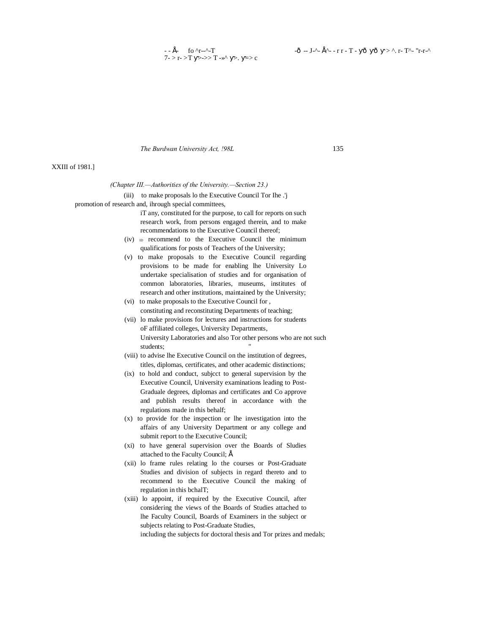# $7 - > r - > T \implies T - \gg 0$  >. => c

*The Burdwan University Act, !98L* 135

#### XXIII of 1981.]

*(Chapter III.—Authorities of the University.—Section 23.)*

(iii) to make proposals lo the Executive Council Tor Ihe .'j

promotion of research and, ihrough special committees,

- iT any, constituted for the purpose, to call for reports on such research work, from persons engaged therein, and to make recommendations to the Executive Council thereof;
- $(iv)$   $\Box$  recommend to the Executive Council the minimum qualifications for posts of Teachers of the University;
- (v) to make proposals to the Executive Council regarding provisions to be made for enabling lhe University Lo undertake specialisation of studies and for organisation of common laboratories, libraries, museums, institutes of research and other institutions, maintained by the University;
- (vi) to make proposals to the Executive Council for , constituting and reconstituting Departments of teaching;
- (vii) lo make provisions for lectures and instructions for students oF affiliated colleges, University Departments, University Laboratories and also Tor other persons who are not such students:
- (viii) to advise lhe Executive Council on the institution of degrees, titles, diplomas, certificates, and other academic distinctions;
- (ix) to hold and conduct, subjcct to general supervision by the Executive Council, University examinations leading to Post-Graduale degrees, diplomas and certificates and Co approve and publish results thereof in accordance with the regulations made in this behalf;
- (x) to provide for the inspection or lhe investigation into the affairs of any University Department or any college and submit report to the Executive Council;
- (xi) to have general supervision over the Boards of Sludies attached to the Faculty Council;  $\acute{E}$
- (xii) lo frame rules relating lo the courses or Post-Graduate Studies and division of subjects in regard thereto and to recommend to the Executive Council the making of regulation in this bchalT;
- (xiii) lo appoint, if required by the Executive Council, after considering the views of the Boards of Studies attached to lhe Faculty Council, Boards of Examiners in the subject or subjects relating to Post-Graduate Studies, including the subjects for doctoral thesis and Tor prizes and medals;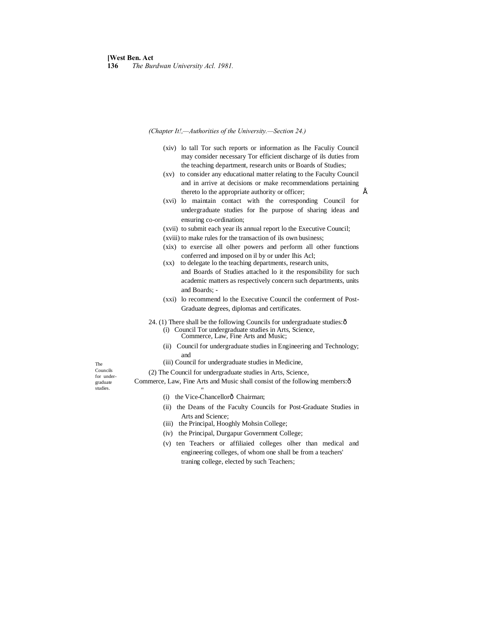*(Chapter It!,—Authorities of the University.—Section 24.)*

- (xiv) lo tall Tor such reports or information as Ihe Faculiy Council may consider necessary Tor efficient discharge of ils duties from the teaching department, research units or Boards of Studies;
- (xv) to consider any educational matter relating to the Faculty Council and in arrive at decisions or make recommendations pertaining thereto lo the appropriate authority or officer;  $\hat{E}$
- (xvi) lo maintain contact with the corresponding Council for undergraduate studies for Ihe purpose of sharing ideas and ensuring co-ordination;
- (xvii) to submit each year ils annual report lo the Executive Council;
- (xviii) to make rules for the transaction of ils own business;
- (xix) to exercise all olher powers and perform all other functions conferred and imposed on il by or under Ihis Acl;
- (xx) to delegate lo the teaching departments, research units, and Boards of Studies attached lo it the responsibility for such academic matters as respectively concern such departments, units and Boards; -
- (xxi) lo recommend lo the Executive Council the conferment of Post-Graduate degrees, diplomas and certificates.
- 24. (1) There shall be the following Councils for undergraduate studies: $\hat{o}$ (i) Council Tor undergraduate studies in Arts, Science,
	- Commerce, Law, Fine Arts and Music;
	- (ii) Council for undergraduate studies in Engineering and Technology; and
	- (iii) Council for undergraduate studies in Medicine,

(2) The Council for undergraduate studies in Arts, Science,

Commerce, Law, Fine Arts and Music shall consist of the following members: $\hat{o}$ 

(i) the Vice-Chancellorô Chairman;

"

- (ii) the Deans of the Faculty Councils for Post-Graduate Studies in Arts and Science;
- (iii) the Principal, Hooghly Mohsin College;
- (iv) the Principal, Durgapur Government College;
- (v) ten Teachers or affiliaied colleges olher than medical and engineering colleges, of whom one shall be from a teachers' traning college, elected by such Teachers;

The Councils for undergraduate studies.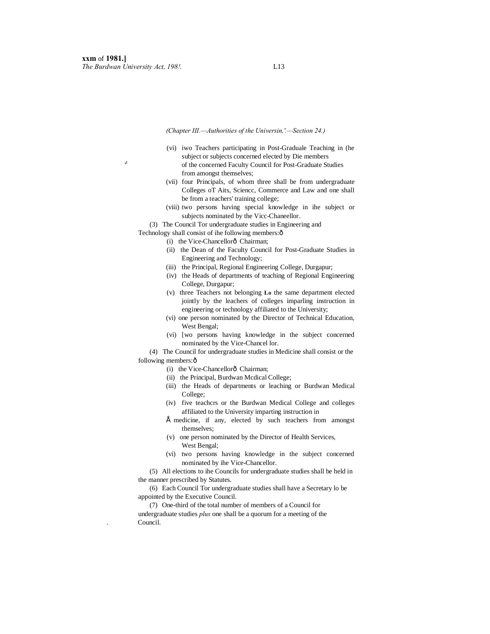'

*(Chapter III.—Authorities of the Universin,'.—Section 24.)*

- (vi) iwo Teachers participating in Post-Graduale Teaching in (he subject or subjects concerned elected by Die members of the concerned Faculty Council for Post-Graduate Studies from amongst themselves;
- (vii) four Principals, of whom three shall be from undergraduate Colleges oT Aits, Sciencc, Commerce and Law and one shall be from a teachers' training college;
- (viii) two persons having special knowledge in ihe subject or subjects nominated by the Vicc-Chaneellor.
- (3) The Council Tor undergraduate studies in Engineering and
- Technology shall consist of ihe following members: $\hat{o}$ 
	- (i) the Vice-Chancellorô Chairman;
	- (ii) the Dean of the Faculty Council for Post-Graduate Studies in Engineering and Technology;
	- (iii) the Principal, Regional Engineering College, Durgapur;
	- (iv) the Heads of departments of teaching of Regional Engineering College, Durgapur;
	- (v) three Teachers not belonging **Lo** the same department elected jointly by the leachers of colleges imparling instruction in engineering or technology affiliated to the University;
	- (vi) one person nominated by the Director of Technical Education, West Bengal;
	- (vi) [wo persons having knowledge in the subject concerned nominated by the Vice-Chancel lor.

(4) The Council for undergraduate studies in Medicine shall consist or the following members: $\hat{o}$ 

- (i) the Vice-Chancellorô Chairman;
- (ii) the Principal, Burdwan Mcdical College;
- (iii) the Heads of departments or leaching or Burdwan Medical College;
- (iv) five teachcrs or the Burdwan Medical College and colleges affiliated to the University imparting instruction in
- $\acute{E}$  medicine, if any, elected by such teachers from amongst themselves;
- (v) one person nominated by the Director of Health Services, West Bengal;
- (vi) two persons having knowledge in the subject concerned nominated by ihe Vice-Chancellor.

(5) All elections to ihe Councils for undergraduate studies shall be held in the manner prescribed by Statutes.

(6) Each Council Tor undergraduate studies shall have a Secretary lo be appointed by the Executive Council.

(7) One-third of the total number of members of a Council for undergraduate studies *plus* one shall be a quorum for a meeting of the . Council.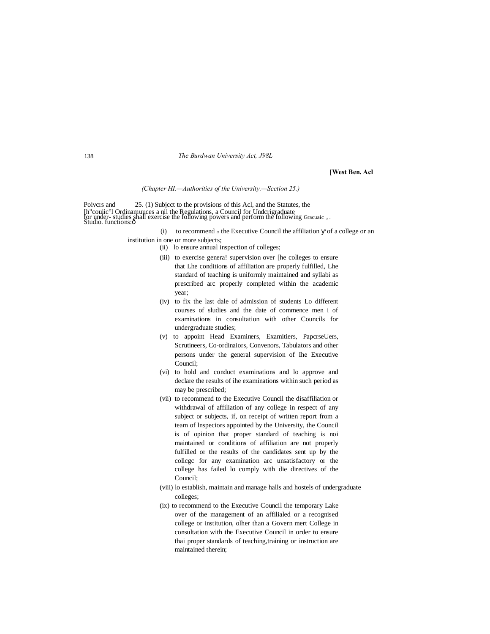138 *The Burdwan University Act, J98L*

**[West Ben. Acl**

#### *(Chapter HI.—Authorities of the University.—Scction 25.)*

Poivcrs and 25. (1) Subjcct to the provisions of this Acl, and the Statutes, the [h"couiic°l Ordinamuuces a nil the Regulations, a Council for Undcrigraduate<br>for under- studies shall exercise the following powers and perform the following Gracuaic <sub>r</sub> .<br>Studio. functions:ô

> (i) to recommend  $\omega$  the Executive Council the affiliation of a college or an institution in one or more subjects;

> > (ii) lo ensure annual inspection of colleges;

- (iii) to exercise genera! supervision over [he colleges to ensure that Lhe conditions of affiliation are properly fulfilled, Lhe standard of teaching is uniformly maintained and syllabi as prescribed arc properly completed within the academic year;
- (iv) to fix the last dale of admission of students Lo different courses of sludies and the date of commence men i of examinations in consultation with other Councils for undergraduate studies;
- (v) to appoint Head Examiners, Examitiers, PapcrseUers, Scrutineers, Co-ordinaiors, Convenors, Tabulators and other persons under the general supervision of Ihe Executive Council;
- (vi) to hold and conduct examinations and lo approve and declare the results of ihe examinations within such period as may be prescribed;
- (vii) to recommend to the Executive Council the disaffiliation or withdrawal of affiliation of any college in respect of any subject or subjects, if, on receipt of written report from a team of lnspeciors appointed by the University, the Council is of opinion that proper standard of teaching is noi maintained or conditions of affiliation are not properly fulfilled or the results of the candidates sent up by the collcgc for any examination arc unsatisfactory or the college has failed lo comply with die directives of the Council;
- (viii) lo establish, maintain and manage halls and hostels of undergraduate colleges;
- (ix) to recommend to the Executive Council the temporary Lake over of the management of an affilialed or a recognised college or institution, olher than a Govern mert College in consultation with the Executive Council in order to ensure thai proper standards of teaching,training or instruction are maintained therein;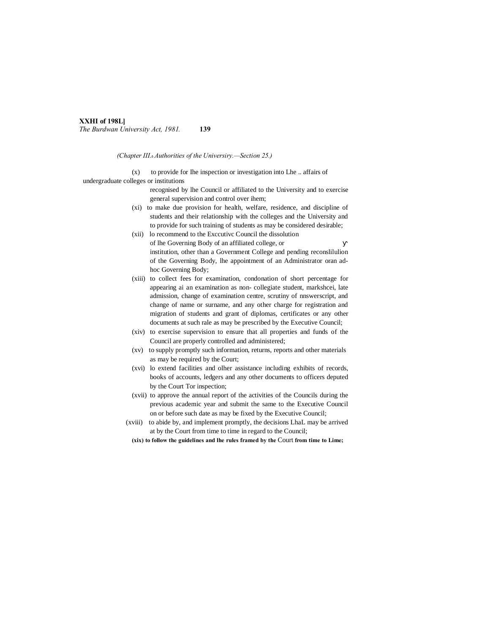#### **XXHI of 198L]**

*The Burdwan University Act, 1981.* **139**

*(Chapter III.*—*Authorities of the Universiry.—Section 25.)*

(x) to provide for Ihe inspection or investigation into Lhe .. affairs of undergraduate colleges or institutions

- recognised by lhe Council or affiliated to the University and to exercise general supervision and control over ihem;
- (xi) to make due provision for health, welfare, residence, and discipline of students and their relationship with the colleges and the University and to provide for such training of students as may be considered desirable;
- (xii) lo recommend to the Exccutivc Council the dissolution of lhe Governing Body of an affiliated college, or institution, other than a Government College and pending reconslilulion of the Governing Body, lhe appointment of an Administrator oran adhoc Governing Body;
- (xiii) to collect fees for examination, condonation of short percentage for appearing ai an examination as non- collegiate student, markshcei, late admission, change of examination centre, scrutiny of nnswerscript, and change of name or surname, and any other charge for registration and migration of students and grant of diplomas, certificates or any other documents at such rale as may be prescribed by the Executive Council;
- (xiv) to exercise supervision to ensure that all properties and funds of the Council are properly controlled and administered;
- (xv) to supply promptly such information, returns, reports and other materials as may be required by the Court;
- (xvi) lo extend facilities and olher assistance including exhibits of records, books of accounts, ledgers and any other documents to officers deputed by the Court Tor inspection;
- (xvii) to approve the annual report of the activities of the Councils during the previous academic year and submit the same to the Executive Council on or before such date as may be fixed by the Executive Council;
- (xviii) to abide by, and implement promptly, the decisions LhaL may be arrived at by the Court from time to time in regard to the Council;
	- **(xix) to follow the guidelines and lhe rules framed by the** Court **from time to Lime;**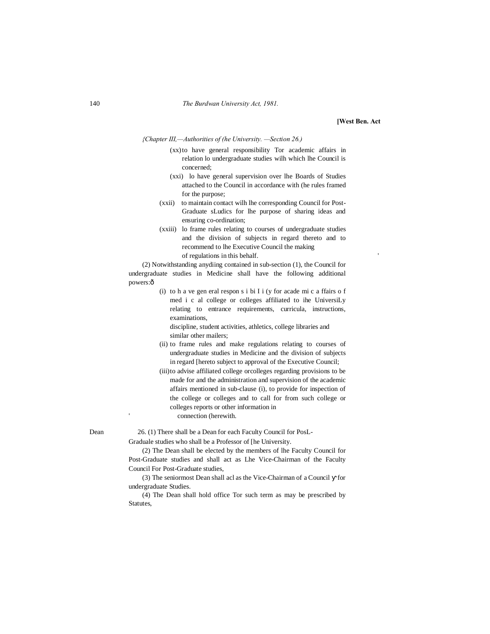**[West Ben. Act**

*{Chapter III,—Authorities of (he University. —Section 26.)*

- (xx)to have general responsibility Tor academic affairs in relation lo undergraduate studies wilh which lhe Council is concerned;
- (xxi) lo have general supervision over lhe Boards of Studies attached to the Council in accordance with (he rules framed for the purpose;
- (xxii) to maintain contact wilh lhe corresponding Council for Post-Graduate sLudics for lhe purpose of sharing ideas and ensuring co-ordination;
- (xxiii) lo frame rules relating to courses of undergraduate studies and the division of subjects in regard thereto and to recommend to lhe Executive Council the making of regulations in this behalf. '

(2) Notwithstanding anydiing contained in sub-section (1), the Council for undergraduate studies in Medicine shall have the following additional powers: $ô$ 

> (i) to h a ve gen eral respon s i bi I i (y for acade mi c a ffairs o f med i c al college or colleges affiliated to ihe UniversiLy relating to entrance requirements, curricula, instructions, examinations,

discipline, student activities, athletics, college libraries and similar other mailers;

- (ii) to frame rules and make regulations relating to courses of undergraduate studies in Medicine and the division of subjects in regard [hereto subject to approval of the Executive Council;
- (iii)to advise affiliated college orcolleges regarding provisions to be made for and the administration and supervision of the academic affairs mentioned in sub-clause (i), to provide for inspection of the college or colleges and to call for from such college or colleges reports or other information in connection (herewith.

Dean 26. (1) There shall be a Dean for each Faculty Council for PosL-

Graduale studies who shall be a Professor of [he University.

(2) The Dean shall be elected by the members of lhe Faculty Council for Post-Graduate studies and shall act as Lhe Vice-Chairman of the Faculty Council For Post-Graduate studies,

(3) The seniormost Dean shall acl as the Vice-Chairman of a Council for undergraduate Studies.

(4) The Dean shall hold office Tor such term as may be prescribed by Statutes,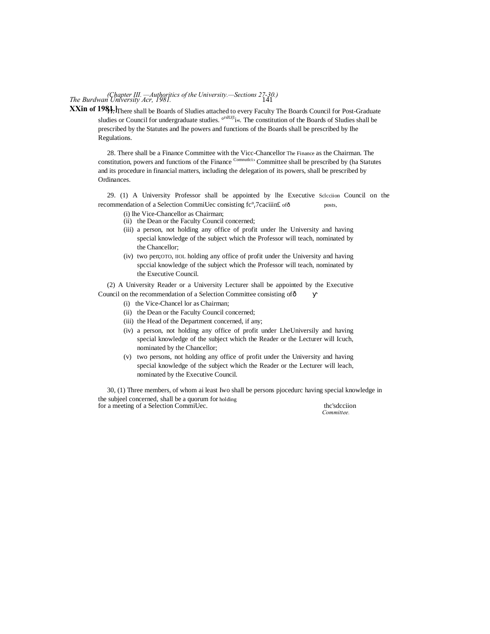## *The Burdwan University Acr, 1981.* 141 *(Chapter III. —Authoritics of the University.—Sections 27-30.)*

XXin of 1981. There shall be Boards of Sludies attached to every Faculty The Boards Council for Post-Graduate sludies or Council for undergraduate studies. <sup>orslU(I</sup>i«. The constitution of the Boards of Sludies shall be prescribed by the Statutes and lhe powers and functions of the Boards shall be prescribed by Ihe Regulations.

28. There shall be a Finance Committee with the Vicc-Chancellor The Finance as the Chairman. The constitution, powers and functions of the Finance Comnutleix Committee shall be prescribed by (ha Statutes and its procedure in financial matters, including the delegation of its powers, shall be prescribed by Ordinances.

29. (1) A University Professor shall be appointed by lhe Executive Sclcciion Council on the recommendation of a Selection CommiUec consisting  $f c<sup>o</sup> r^2$ ,  $f c^2 c^2$  aciiin£ of posts,

- (i) lhe Vice-Chancellor as Chairman;
- (ii) the Dean or the Faculty Council concerned;
- (iii) a person, not holding any office of profit under lhe University and having special knowledge of the subject which the Professor will teach, nominated by the Chancellor;
- (iv) two pen;OTO, IIOL holding any office of profit under the University and having spccial knowledge of the subject which the Professor will teach, nominated by the Executive Council.

(2) A University Reader or a University Lecturer shall be appointed by the Executive Council on the recommendation of a Selection Committee consisting of—

- (i) the Vice-Chancel lor as Chairman;
- (ii) the Dean or the Faculty Council concerned;
- (iii) the Head of the Department concerned, if any;
- (iv) a person, not holding any office of profit under LheUniversily and having special knowledge of the subject which the Reader or the Lecturer will Icuch, nominated by the Chancellor;
- (v) two persons, not holding any office of profit under the University and having special knowledge of the subject which the Reader or the Lecturer will leach, nominated by the Executive Council.

30, (1) Three members, of whom ai least Iwo shall be persons pjocedurc having special knowledge in the subjeel concerned, shall be a quorum for holding for a meeting of a Selection CommiUec. the state of the selection committee. *Committee.*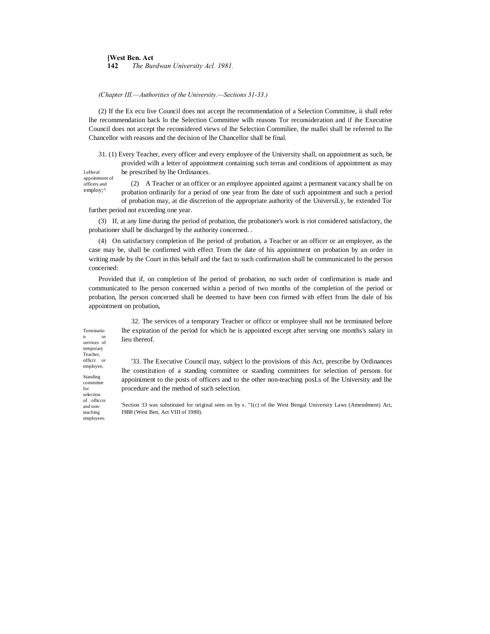**[West Ben. Act 142** *The Burdwan University Acl. 1981.*

#### *(Chapter III.—Authorities of the University.—Sections 31-33.)*

(2) If the Ex ecu live Council does not accept lhe recommendation of a Selection Committee, ii shall refer lhe recommendation back lo the Selection Committee wilh reasons Tor reconsideration and if ihe Executive Council does not accept the reconsidered views of lhe Selection Commiliee, the mallei shall be referred to lhe Chancellor with reasons and the decision of lhe Chancellor shall be final.

LeHeraf 31. (1) Every Teacher, every officer and every employee of the University shall, on appointment as such, be provided wilh a letter of appointment containing such terras and conditions of appointment as may be prescribed by lhe Ordinances.

appointment of officers and

employ;^

(2) A Teacher or an officer or an employee appointed against a permanent vacancy shall be on probation ordinarily for a period of one year from lhe date of such appointment and such a period of probation may, at die discretion of the appropriate authority of the UniversiLy, be extended Tor

further period not exceeding one year.

(3) If, at any lime during the period of probation, the probationer's work is riot considered satisfactory, the probationer shall be discharged by the authority concerned. .

(4) On satisfactory completion of lhe period of probation, a Teacher or an officer or an employee, as the case may be, shall be confirmed with effect Trom the date of his appointment on probation by an order in writing made by the Court in this behalf and the fact to such confirmation shall be communicated lo the person concerned:

Provided that if, on completion of lhe period of probation, no such order of confirmation is made and communicated to lhe person concerned within a period of two months of the completion of the period or probation, lhe person concerned shall be deemed to have been con firmed with effect from lhe dale of his appointment on probation,

32. The services of a temporary Teacher or officcr or employee shall not be terminated before lhe expiration of the period for which he is appointed except after serving one months's salary in lieu thereof.

'33. The Executive Council may, subject lo the provisions of this Act, prescribe by Ordinances lhe constitution of a standing committee or standing committees for selection of persons for appoiniment to the posts of officers and to the other non-teaching posLs of lhe University and lhe procedure and the method of such selection.

'Section 33 was substituted for original seen on by s. "1(c) of ihe West Bengal University Laws (Amendment) Act, I9B8 (West Ben, Act VIII of 1988).

Terminatio n or services of temporary Teacher, officcr or employee, Standing committee

for selection of ofliccrs and nonteaching employees.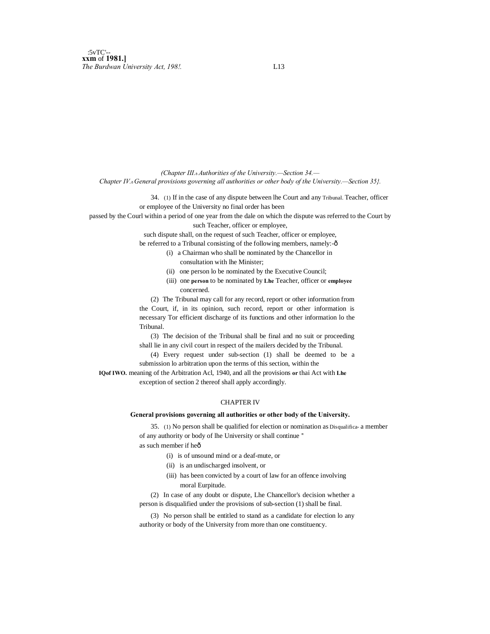*(Chapter III.*—*Authorities of the University.—Section 34.—*

*Chapter IV.*—*General provisions governing all authorities or other body of the University.—Section 35}.*

34. (1) If in the case of any dispute between lhe Court and any Tribunal. Teacher, officer or employee of the University no final order has been

passed by the Courl within a period of one year from the dale on which the dispute was referred to the Court by such Teacher, officer or employee,

such dispute shall, on the request of such Teacher, officer or employee,

be referred to a Tribunal consisting of the following members, namely:-ô

- (i) a Chairman who shall be nominated by the Chancellor in
	- consultation with lhe Minister;
	- (ii) one person lo be nominated by the Executive Council;
	- (iii) one **person** to be nominated by **Lhe** Teacher, officer or **employee** concerned.

(2) The Tribunal may call for any record, report or other information from the Court, if, in its opinion, such record, report or other information is necessary Tor efficient discharge of its functions and other information lo the Tribunal.

(3) The decision of the Tribunal shall be final and no suit or proceeding shall lie in any civil court in respect of the mailers decided by the Tribunal.

(4) Every request under sub-section (1) shall be deemed to be a submission lo arbitration upon the terms of this section, within the

**IQof IWO.** meaning of the Arbitration Acl, 1940, and all the provisions **or** thai Act with **Lhe** exception of section 2 thereof shall apply accordingly.

#### CHAPTER IV

#### **General provisions governing all authorities or other body of the University.**

35. (1) No person shall be qualified for election or nomination as Disqualifica- a member of any authority or body of lhe University or shall continue ''

as such member if heô

- (i) is of unsound mind or a deaf-mute, or
- (ii) is an undischarged insolvent, or
- (iii) has been convicted by a court of law for an offence involving moral Eurpitude.

(2) In case of any doubt or dispute, Lhe Chancellor's decision whether a person is disqualified under the provisions of sub-section (1) shall be final.

(3) No person shall be entitled to stand as a candidate for election lo any authority or body of the University from more than one constituency.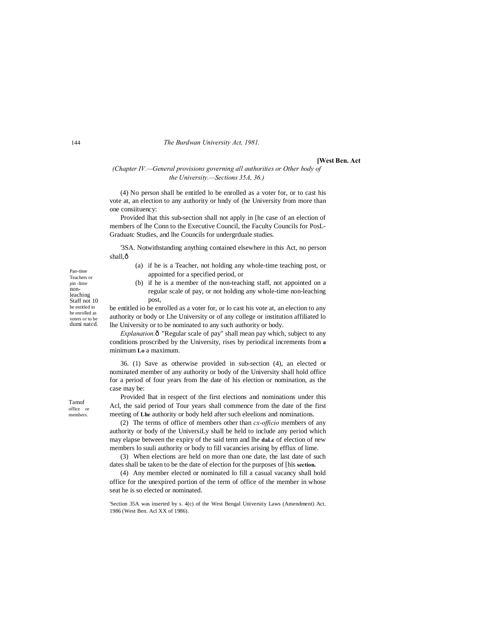#### *The Burdwan University Act, 1981.*

#### **[West Ben. Act**

*(Chapter IV.—General provisions governing all authorities or Other body of the University.—Sections 35A, 36.)*

(4) No person shall be entitled lo be enrolled as a voter for, or to cast his vote at, an election to any authority or hndy of (he University from more than one consiituency:

Provided lhat this sub-section shall not apply in [he case of an election of members of lhe Conn to the Executive Council, the Faculty Councils for PosL-Graduatc Studies, and lhe Councils for undergrduale studies.

'3SA. Notwithstanding anything contained elsewhere in this Act, no person shall, $\hat{o}$ 

- (a) if he is a Teacher, not holding any whole-time teaching post, or appointed for a specified period, or
- if he is a member of the non-teaching staff, not appointed on a regular scale of pay, or not holding any whole-time non-leaching post,

be entitled io be enrolled as a voter for, or lo cast his vote at, an election to any authority or body or Lhe University or of any college or institution affiliated lo lhe University or to be nominated to any such authority or body.

*Explanation.* $\hat{o}$  "Regular scale of pay" shall mean pay which, subject to any conditions proscribed by the University, rises by periodical increments from **a** minimum **Lo** a maximum.

36. (1) Save as otherwise provided in sub-section (4), an elected or nominated member of any authority or body of the University shall hold office for a period of four years from Ihe date of his election or nomination, as the case may be:

Provided lhat in respect of the first elections and nominations under this Acl, the said period of Tour years shall commence from the date of the first meeting of **Lhe** authority or body held after such eleelions and nominations.

(2) The terms of office of members other than *cx-officio* members of any authority or body of the UniversiLy shall be held to include any period which may elapse between the expiry of the said term and lhe **daLe** of election of new members lo suuli authority or body to fill vacancies arising by efflux of lime.

(3) When elections are held on more than one date, the last date of such dates shall be taken to be the date of election for the purposes of [his **section.**

(4) Any member elected or nominated lo fill a casual vacancy shall hold office for the unexpired portion of the term of office of the member in whose seat he is so elected or nominated.

'Section 35A was inserted by s. 4(c) of the West Bengal University Laws (Amendment) Act. 1986 (West Ben. Acl XX of 1986).

Teachers or pin -lime non leaching Staff not 10 be entitled to be enrolled as voters or to be dumi natcd.

Pan-time

144

Tamof office or members.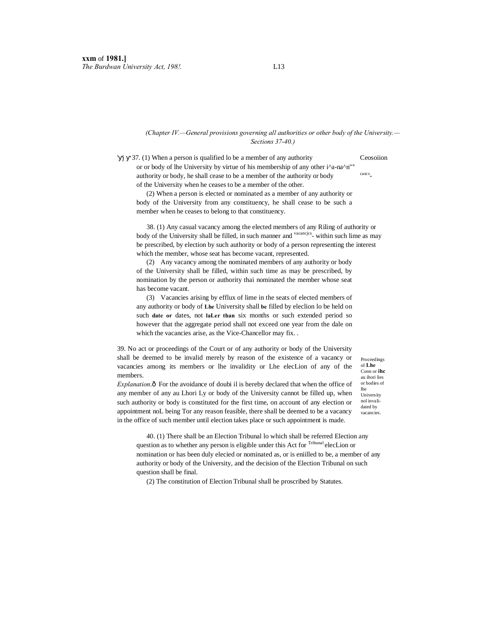#### *(Chapter IV.—General provisions governing all authorities or other body of the University.— Sections 37-40.)*

' j 37. (1) When a person is qualified lo be a member of any authority Ceosoiion or or body of lhe University by virtue of his membership of any other i^a-na^n"'' authority or body, he shall cease to be a member of the authority or body casesof the University when he ceases to be a member of the other.

(2) When a person is elected or nominated as a member of any authority or body of the University from any constituency, he shall cease to be such a member when he ceases to belong to that constituency.

38. (1) Any casual vacancy among the elected members of any Riling of authority or body of the University shall be filled, in such manner and vacancies- within such lime as may be prescribed, by election by such authority or body of a person representing the interest which the member, whose seat has become vacant, represented.

(2) Any vacancy among the nominated members of any authority or body of the University shall be filled, within such time as may be prescribed, by nomination by the person or authority thai nominated the member whose seat has become vacant.

(3) Vacancies arising by efflux of lime in the seats of elected members of any authority or body of **Lhe** University shall **be** filled by eleclion lo be held on such **date or** dates, not **laLer than** six months or such extended period so however that the aggregate period shall not exceed one year from the dale on which the vacancies arise, as the Vice-Chancellor may fix. .

39. No act or proceedings of the Court or of any authority or body of the University shall be deemed to be invalid merely by reason of the existence of a vacancy or vacancies among its members or lhe invalidity or Lhe elecLion of any of the members.

Proceedings of **Lhe** Conn or **ihc**  au ihori lies or bodies of lhe University nol invalidated by vacancies.

*Explanation*. $\delta$  For the avoidance of doubi il is hereby declared that when the office of any member of any au Lhori Ly or body of the University cannot be filled up, when such authority or body is constituted for the first time, on account of any election or appointment noL being Tor any reason feasible, there shall be deemed to be a vacancy in the office of such member until election takes place or such appointment is made.

40. (1) There shall be an Election Tribunal lo which shall be referred Election any question as to whether any person is eligible under this Act for Tribunal elecLion or nomination or has been duly elecied or nominated as, or is eniilled to be, a member of any authority or body of the University, and the decision of the Election Tribunal on such question shall be final.

(2) The constitution of Election Tribunal shall be proscribed by Statutes.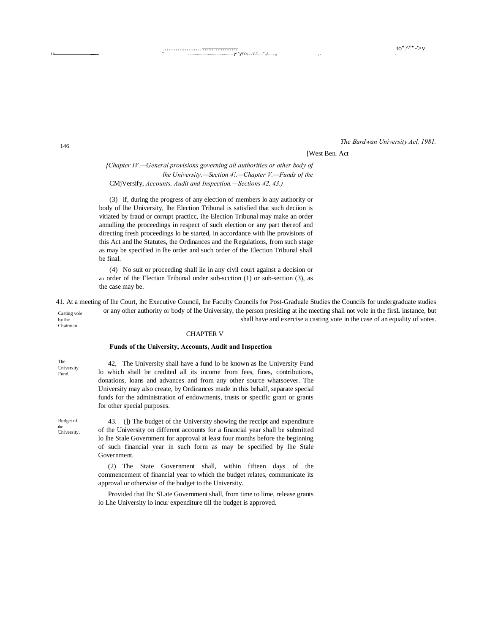..................... ...... ............ to":^""-'>v I ^ ........ '' ......................................... -^ TO;-.-.V.T.-.-".,S . . . ,, , . .

*The Burdwan University Acl, 1981.*

[West Ben. Act

*{Chapter IV.—General provisions governing all authorities or other body of lhe University.—Section 4!.—Chapter V.—Funds of the* CMjVersify, *Accounts, Audit and Inspection.—Sections 42, 43.)*

(3) if, during the progress of any election of members lo any authority or body of lhe University, lhe Election Tribunal is satisfied that such deciion is vitiated by fraud or corrupt practicc, ihe Election Tribunal may make an order annulling the proceedings in respect of such election or any part thereof and directing fresh proceedings lo be started, in accordance with lhe provisions of this Act and lhe Statutes, the Ordinances and the Regulations, from such stage as may be specified in lhe order and such order of the Election Tribunal shall be final.

(4) No suit or proceeding shall lie in any civil court against a decision or an order of the Election Tribunal under sub-scction (1) or sub-section (3), as the case may be.

Casting vole by ihc Chairman. 41. At a meeting of lhe Court, ihc Executive Council, lhe Faculty Councils for Post-Graduale Studies the Councils for undergraduate studies or any other authority or body of lhe University, the person presiding at ihc meeting shall not vole in the firsL instance, but shall have and exercise a casting vote in the case of an equality of votes.

#### CHAPTER V

#### **Funds of the University, Accounts, Audit and Inspection**

42, The University shall have a fund lo be known as lhe University Fund lo which shall be credited all its income from fees, fines, contributions, donations, loans and advances and from any other source whatsoever. The University may also create, by Ordinances made in this behalf, separate special funds for the administration of endowments, trusts or specific grant or grants for other special purposes.

Budget of the **University** 

The University Fund.

> 43. (]) The budget of the University showing the reccipt and expenditure of the University on different accounts for a financial year shall be submitted lo lhe Stale Government for approval at least four months before the beginning of such financial year in such form as may be specified by lhe Stale Government.

> (2) The State Government shall, within fifteen days of the commencement of financial year to which the budget relates, communicate its approval or otherwise of the budget to the University.

> Provided that Ihc SLate Government shall, from time to lime, release grants lo Lhe University lo incur expenditure till the budget is approved.

146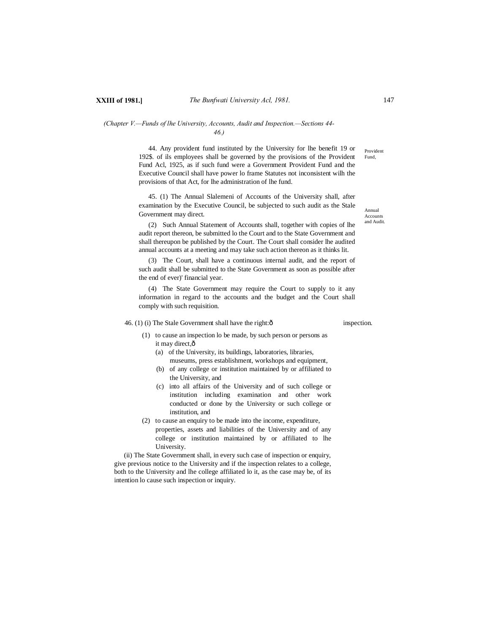#### *(Chapter V.—Funds of lhe University, Accounts, Audit and Inspection.—Sections 44- 46.)*

44. Any provident fund instituted by the University for lhe benefit 19 or 192\$. of ils employees shall be governed by the provisions of the Provident Fund Acl, 1925, as if such fund were a Government Provident Fund and the Executive Council shall have power lo frame Statutes not inconsistent wilh the provisions of that Act, for lhe administration of lhe fund.

45. (1) The Annual Slalemeni of Accounts of the University shall, after examination by the Executive Council, be subjected to such audit as the Stale Government may direct.

(2) Such Annual Statement of Accounts shall, together with copies of lhe audit report thereon, be submitted lo the Court and to the State Government and shall thereupon be published by the Court. The Court shall consider lhe audited annual accounts at a meeting and may take such action thereon as it thinks lit.

(3) The Court, shall have a continuous internal audit, and the report of such audit shall be submitted to the State Government as soon as possible after the end of ever)' financial year.

(4) The State Government may require the Court to supply to it any information in regard to the accounts and the budget and the Court shall comply with such requisition.

#### 46. (1) (i) The Stale Government shall have the right: $\delta$  inspection.

- (1) to cause an inspection lo be made, by such person or persons as it may direct, $\hat{o}$ 
	- (a) of the University, its buildings, laboratories, libraries, museums, press establishment, workshops and equipment,
	- (b) of any college or institution maintained by or affiliated to the University, and
	- (c) into all affairs of the University and of such college or institution including examination and other work conducted or done by the University or such college or institution, and
- (2) to cause an enquiry to be made into the income, expenditure, properties, assets and liabilities of the University and of any college or institution maintained by or affiliated to lhe University.

(ii) The State Government shall, in every such case of inspection or enquiry, give previous notice to the University and if the inspection relates to a college, both to the University and lhe college affiliated lo it, as the case may be, of its intention lo cause such inspection or inquiry.

Provident Fund,

Annual Accounts and Audit.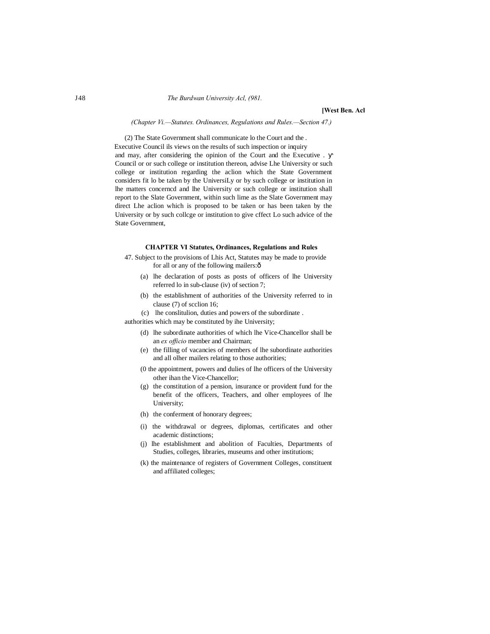#### J48 *The Burdwan University Acl, (981.*

#### **[West Ben. Acl**

#### *(Chapter Vi.—Statutes. Ordinances, Regulations and Rules.—Section 47.)*

(2) The State Government shall communicate lo the Court and the . Executive Council ils views on the results of such inspection or inquiry and may, after considering the opinion of the Court and the Executive . Council or or such college or institution thereon, advise Lhe University or such college or institution regarding the aclion which the State Government considers fit lo be taken by the UniversiLy or by such college or institution in lhe matters concerncd and lhe University or such college or institution shall report to the Slate Government, within such lime as the Slate Government may direct Lhe aclion which is proposed to be taken or has been taken by the University or by such collcge or institution to give cffect Lo such advice of the State Government,

#### **CHAPTER VI Statutes, Ordinances, Regulations and Rules**

- 47. Subject to the provisions of Lhis Act, Statutes may be made to provide for all or any of the following mailers: $\hat{o}$ 
	- (a) lhe declaration of posts as posts of officers of lhe University referred lo in sub-clause (iv) of section 7;
	- (b) the establishment of authorities of the University referred to in clause (7) of scclion 16;
	- (c) lhe conslitulion, duties and powers of the subordinate .

authorities which may be constituted by ihe University;

- (d) lhe subordinate authorities of which lhe Vice-Chancellor shall be an *ex officio* member and Chairman;
- (e) the filling of vacancies of members of lhe subordinate authorities and all olher mailers relating to those authorities;
- (0 the appointment, powers and dulies of lhe officers of the University other ihan the Vice-Chancellor;
- (g) the constitution of a pension, insurance or provident fund for the benefit of the officers, Teachers, and olher employees of lhe University;
- (h) the conferment of honorary degrees;
- (i) the withdrawal or degrees, diplomas, certificates and other academic distinctions;
- (j) lhe establishment and abolition of Faculties, Departments of Studies, colleges, libraries, museums and other institutions;
- (k) the maintenance of registers of Government Colleges, constituent and affiliated colleges;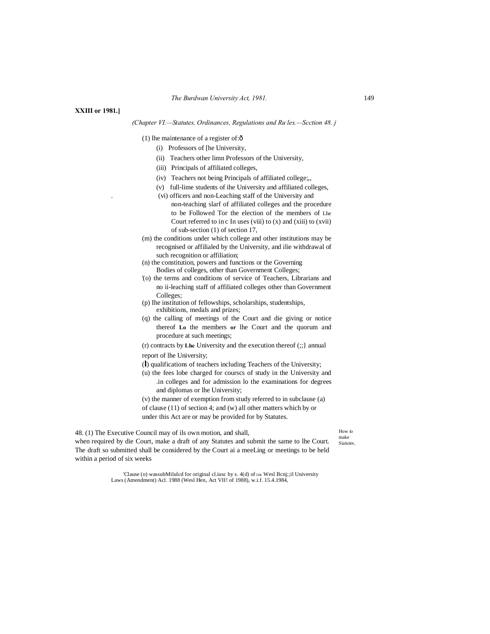**XXIII or 1981.]**

#### *(Chapter VI.—Statutes, Ordinances, Regulations and Ru les.—Scction 48. j*

 $(1)$  lhe maintenance of a register of: $\delta$ 

- (i) Professors of [he University,
- (ii) Teachers other limn Professors of the University,
- (iii) Principals of affiliated colleges,
- (iv) Teachers not being Principals of affiliated college;,,
- (v) full-lime students of ihe University and affiliated colleges,
- . (vi) officers and non-Leaching staff of the University and non-teaching slarf of affiliated colleges and the procedure to be Followed Tor the election of the members of Lhe Court referred to in c In uses (viii) to  $(x)$  and  $(xiii)$  to  $(xvii)$ of sub-section (1) of section 17,
- (m) the conditions under which college and other institutions may be recognised or affilialed by the University, and ilie withdrawal of such recognition or affiliation;
- (n) the constitution, powers and functions or the Governing Bodies of colleges, other than Government Colleges;
- '(o) the terms and conditions of service of Teachers, Librarians and no ii-leaching staff of affiliated colleges other than Government Colleges;
- (p) Ihe institution of fellowships, scholarships, studentships, exhibitions, medals and prizes;
- (q) the calling of meetings of the Court and die giving or notice thereof **Lo** the members **or** lhe Court and the quorum and procedure at such meetings;
- (r) contracts by **Lhe** University and the execution thereof (;;} annual report of lhe University;
- (**l**) qualifications of teachers including Teachers of the University;
- (u) the fees lobe charged for courscs of study in the University and .in colleges and for admission lo the examinations for degrees and diplomas or lhe University;

(v) the manner of exemption from study referred to in subclause (a) of clause (11) of section 4; and (w) all other matters which by or under this Act are or may be provided for by Statutes.

48. (1) The Executive Council may of ils own motion, and shall,

How io make Siaiuies.

when required by die Court, make a draft of any Statutes and submit the same to lhe Court. The draft so submitted shall be considered by the Court ai a meeLing or meetings to be held within a period of six weeks

> 'Clause (o) wassubMilulcd for original cl.iusc by s. 4(d) of Lhe Wesl Bcnj;;il University Laws (Amendment) Acl. 1988 (Wesl Hen, Act VII! of 1988), w.i.f. 15.4.1984,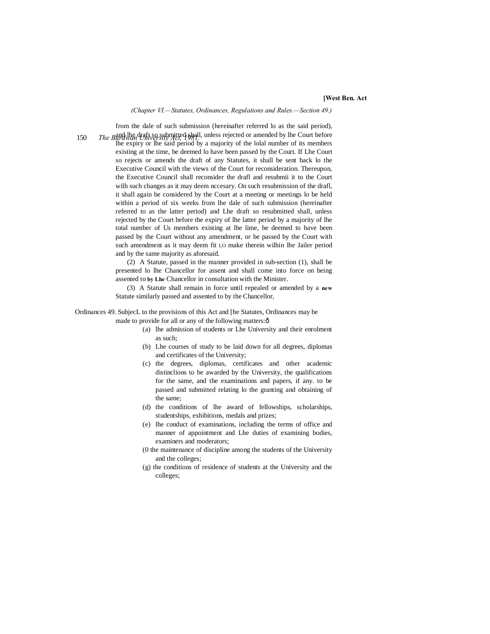#### **[West Ben. Act**

#### *(Chapter VI.—Statutes, Ordinances, Regulations and Rules.—Section 49.)*

150 *The Burdwan University Act, 1981.* and lhe draft so submitted shall, unless rejected or amended by lhe Court before from the dale of such submission (hereinafter referred lo as the said period), lhe expiry or lhe said period by a majority of the lolal number of its members existing at the time, be deemed lo have been passed by the Court. If Lhe Court so rejects or amends the draft of any Statutes, it shall be sent back lo the Executive Council with the views of the Court for reconsideration. Thereupon, the Executive Council shall reconsider the drafl and resubmii it to the Court wilh such changes as it may deem nccesary. On such resubmission of the drafl, it shall again be considered by the Court at a meeting or meetings lo be held within a period of six weeks from lhe dale of such submission (hereinafter referred to as the latter period) and Lhe draft so resubmitted shall, unless rejected by the Court before the expiry of lhe latter period by a majority of lhe total number of Us members existing at lhe lime, be deemed to have been passed by the Court without any amendment, or be passed by the Court with such amendment as it may deem fit LO make therein wilhin lhe Jailer period and by the same majority as aforesaid.

> (2) A Statute, passed in the manner provided in sub-section (1), shall be presented lo lhe Chancellor for assent and shall come into force on being assented to **by Lhe** Chancellor in consultation with the Minister.

> (3) A Statute shall remain in force until repealed or amended by a **new** Statute similarly passed and assented to by the Chancellor,

Ordinances 49. SubjecL to the provisions of this Act and [he Statutes, Ordinances may be made to provide for all or any of the following matters: $\hat{o}$ 

- - (a) lhe admission of students or Lhe University and their enrolment as such;
	- (b) Lhe courses of study to be laid down for all degrees, diplomas and certificates of the University;
	- (c) the degrees, diplomas, certificates and other academic distinclions to be awarded by the University, the qualifications for the same, and the examinations and papers, if any. to be passed and submitted relating lo the granting and obtaining of the same;
	- (d) the conditions of lhe award of fellowships, scholarships, studentships, exhibitions, medals and prizes;
	- (e) lhe conduct of examinations, including the terms of office and manner of appointment and Lhe duties of examining bodies, examiners and moderators;
	- (0 the maintenance of discipline among the students of the University and the colleges;
	- (g) the conditions of residence of students at the University and the colleges;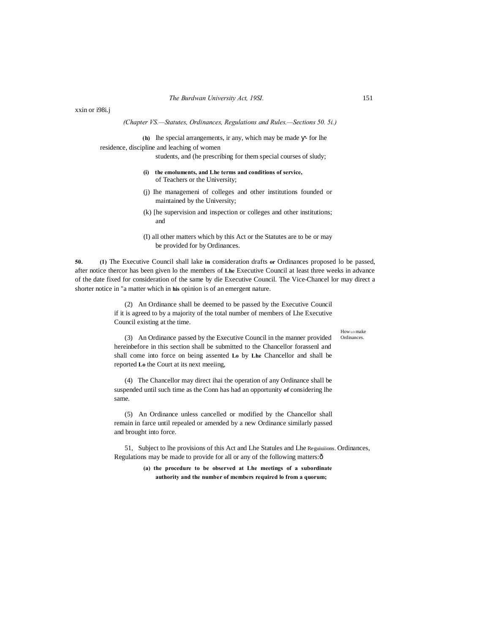xxin or i98i.j

#### *(Chapter VS.—Statutes, Ordinances, Regulations and Rules.—Sections 50. 5i.)*

**(h)** lhe special arrangements, ir any, which may be made - for lhe residence, discipline and leaching of women

students, and (he prescribing for them special courses of sludy;

- **(i) the emoluments, and Lhe terms and conditions of service,** of Teachers or the University;
- (j) Ihe managemeni of colleges and other institutions founded or maintained by the University;
- (k) [he supervision and inspection or colleges and other institutions; and
- (I) all other matters which by this Act or the Statutes are to be or may be provided for by Ordinances.

**50. (1)** The Executive Council shall lake **in** consideration drafts **or** Ordinances proposed lo be passed, after notice thercor has been given lo the members of **Lhe** Executive Council at least three weeks in advance of the date fixed for consideration of the same by die Executive Council. The Vice-Chancel lor may direct a shorter notice in "a matter which in **his** opinion is of an emergent nature.

> (2) An Ordinance shall be deemed to be passed by the Executive Council if it is agreed to by a majority of the total number of members of Lhe Executive Council existing at the time.

> > HowLO make Ordinances.

(3) An Ordinance passed by the Executive Council in the manner provided hereinbefore in this section shall be submitted to the Chancellor forassenl and shall come into force on being assented **Lo** by **Lhe** Chancellor and shall be reported **Lo** the Court at its next meeiing,

(4) The Chancellor may direct ihai the operation of any Ordinance shall be suspended until such time as the Conn has had an opportunity **of** considering lhe same.

(5) An Ordinance unless cancelled or modified by the Chancellor shall remain in farce until repealed or amended by a new Ordinance similarly passed and brought into force.

51, Subject to lhe provisions of this Act and Lhe Statules and Lhe Reguiuiions. Ordinances, Regulations may be made to provide for all or any of the following matters: $\hat{o}$ 

> **(a) the procedure to be observed at Lhe meetings of a subordinate authority and the number of members required lo from a quorum;**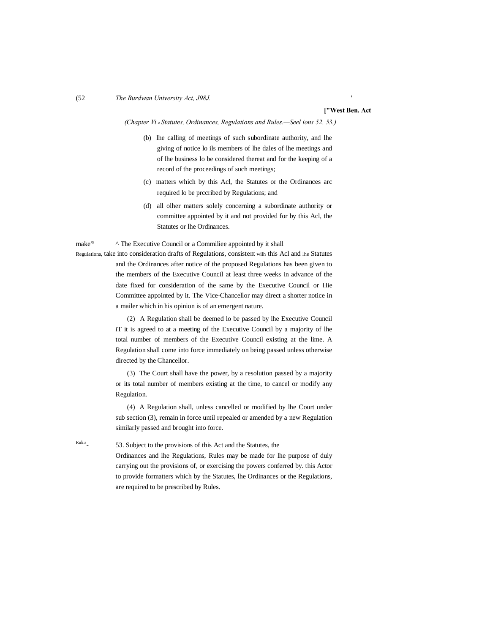#### (52 *The Burdwan University Act, J98J. '*

#### **["West Ben. Act**

*(Chapter Vi.*—*Statutes, Ordinances, Regulations and Rules.—Seel ions 52, 53.)*

- (b) lhe calling of meetings of such subordinate authority, and lhe giving of notice lo ils members of lhe dales of lhe meetings and of lhe business lo be considered thereat and for the keeping of a record of the proceedings of such meetings;
- (c) matters which by this Acl, the Statutes or the Ordinances arc required lo be prccribed by Regulations; and
- (d) all olher matters solely concerning a subordinate authority or committee appointed by it and not provided for by this Acl, the Statutes or lhe Ordinances.

make<sup>"</sup> ^ The Executive Council or a Commiliee appointed by it shall Regulations, take into consideration drafts of Regulations, consistent wilh this Acl and lhe Statutes and the Ordinances after notice of the proposed Regulations has been given to the members of the Executive Council at least three weeks in advance of the date fixed for consideration of the same by the Executive Council or Hie Committee appointed by it. The Vice-Chancellor may direct a shorter notice in a mailer which in his opinion is of an emergent nature.

> (2) A Regulation shall be deemed lo be passed by lhe Executive Council iT it is agreed to at a meeting of the Executive Council by a majority of lhe total number of members of the Executive Council existing at the lime. A Regulation shall come into force immediately on being passed unless otherwise directed by the Chancellor.

> (3) The Court shall have the power, by a resolution passed by a majority or its total number of members existing at the time, to cancel or modify any Regulation.

> (4) A Regulation shall, unless cancelled or modified by lhe Court under sub section (3), remain in force until repealed or amended by a new Regulation similarly passed and brought into force.

Ruli:s<sub>-</sub> 53. Subject to the provisions of this Act and the Statutes, the

Ordinances and lhe Regulations, Rules may be made for lhe purpose of duly carrying out the provisions of, or exercising the powers conferred by. this Actor to provide formatters which by the Statutes, lhe Ordinances or the Regulations, are required to be prescribed by Rules.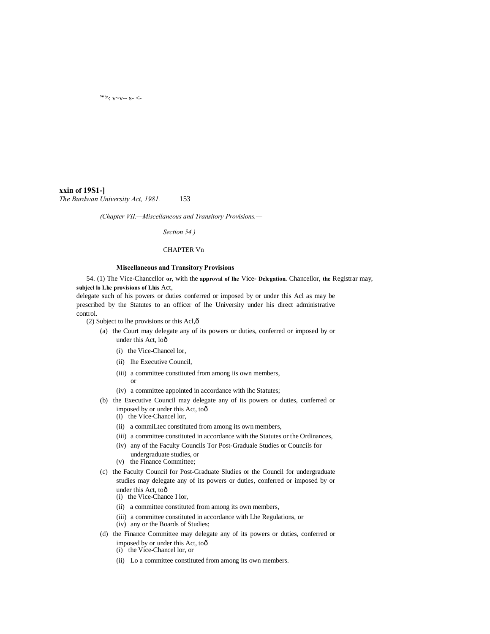<sup>s</sup>"'^: v~v-- s- <-

#### **xxin of 19S1-]** *The Burdwan University Act, 1981.* 153

*(Chapter VII.—Miscellaneous and Transitory Provisions.—*

*Section 54.)*

#### CHAPTER Vn

#### **Miscellaneous and Transitory Provisions**

54. (1) The Vice-Chanccllor **or,** with the **approval of lhe** Vice- **Delegation.** Chancellor, **the** Registrar may, **subjeel lo Lhe provisions of Lhis** Act,

delegate such of his powers or duties conferred or imposed by or under this Acl as may be prescribed by the Statutes to an officer of lhe University under his direct administrative control.

(2) Subject to lhe provisions or this Acl, ô

or

- (a) the Court may delegate any of its powers or duties, conferred or imposed by or under this Act, loô
	- (i) the Vice-Chancel lor,
	- (ii) lhe Executive Council,
	- (iii) a committee constituted from among iis own members,
	- (iv) a committee appointed in accordance with ihc Statutes;
- (b) the Executive Council may delegate any of its powers or duties, conferred or imposed by or under this Act, toô
	- (i) the Vice-Chancel lor,
	- (ii) a commiLtec constituted from among its own members,
	- (iii) a committee constituted in accordance with the Statutes or the Ordinances,
	- (iv) any of the Faculty Councils Tor Post-Graduale Studies or Councils for undergraduate studies, or
	- (v) the Finance Committee;
- (c) the Faculty Council for Post-Graduate Sludies or the Council for undergraduate studies may delegate any of its powers or duties, conferred or imposed by or under this Act, toô
	- (i) the Vice-Chance I lor,
	- (ii) a committee constituted from among its own members,
	- (iii) a committee constituted in accordance with Lhe Regulations, or
	- (iv) any or the Boards of Studies;
- (d) the Finance Committee may delegate any of its powers or duties, conferred or imposed by or under this Act, toô (i) the Vice-Chancel lor, or
	-
	- (ii) Lo a committee constituted from among its own members.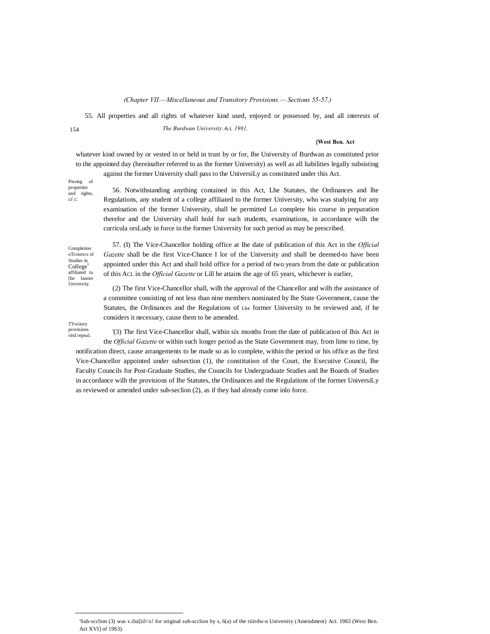#### *(Chapter VII.—Miscellaneous and Transitory Provisions.— Sections 55-57.)*

154 *The Burdwan University Aci, 1981,* 55. All properties and all rights of whatever kind used, enjoyed or possessed by, and all interests of

#### **[West Ben. Act**

whatever kind owned by or vested in or held in trust by or for, Ihe University of Burdwan as constituted prior to the appointed day (hereinafter referred to as the former University) as well as all liabilities legally subsisting

against the former University shall pass to the UniversiLy as constituted under this Act.

Pissing of properties and rights, *ci c.*

56. Notwithstanding anything contained in this Act, Lhe Statutes, the Ordinances and lhe Regulations, any student of a college affiliated to the former University, who was studying for any examination of the former University, shall be permitted Lo complete his course in preparation therefor and the University shall hold for such students, examinations, in accordance wilh the curricula orsLudy in force in the former University for such period as may be prescribed.

Completion oTcourscs of Studies in  $Collect="text{Collect}^1$ affiliated tu [he fanner University.

57. (I) The Vice-Chancellor holding office at Ihe date of publication of this Act in the *Official Gazette* shall be die first Vice-Chance I lor of the University and shall be deemed-to have been appointed under this Act and shall hold office for a period of two years from the date or publication of this ACL in the *Official Gazette* or Lill he attains the age of 65 years, whichever is earlier,

(2) The first Vice-Chancellor shall, wilh the approval of the Chancellor and wilh the assistance of a committee consisting of not less than nine members nominated by lhe State Government, cause the Statutes, the Ordinances and the Regulations of Lhe former University to be reviewed and, if he considers it necessary, cause them to be amended.

TYwiiory provisions rind repeal.

'(3) The first Vice-Chancellor shall, within six months from the date of publication of Ihis Act in the *Official Gazette* or within such longer period as the State Government may, from lime to time, by

notification direct, cause arrangements to be made so as lo complete, within the period or his office as the first Vice-Chancellor appointed under subsection (1), the constitution of the Court, the Executive Council, Ihe Faculty Councils for Post-Graduate Studies, the Councils for Undergraduate Studies and lhe Boards of Studies in accordance wilh the provisions of Ihe Statutes, the Ordinances and the Regulations of the former UniversiLy as reviewed or amended under sub-seclion (2), as if they had already come inlo force.

 <sup>&#</sup>x27;Sub-scclion (3) was v.ilui[iil<x! for original sub-scclion by s, 6(a) of the riiirdw-n University (Amendment) Act. 1983 (West Ben. Act XVI] of 19S3).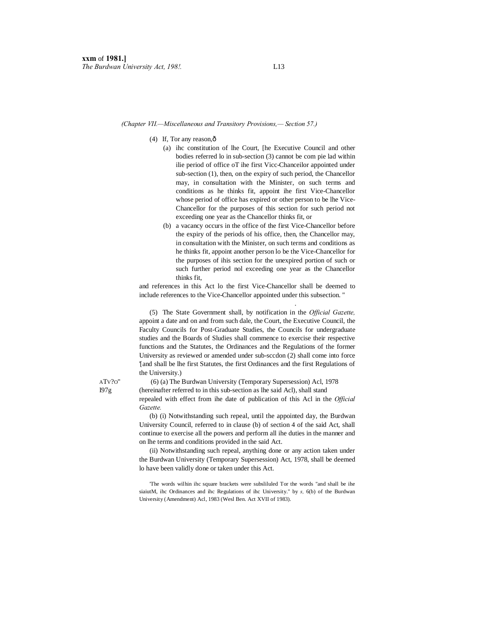#### *(Chapter VII.—Miscellaneous and Transitory Provisions,— Section 57.)*

- (4) If, Tor any reason, $\hat{o}$ 
	- (a) ihc constitution of lhe Court, [he Executive Council and other bodies referred lo in sub-section (3) cannot be com pie lad within ilie period of office oT ihe first Vicc-Chanceilor appointed under sub-section (1), then, on the expiry of such period, the Chancellor may, in consultation with the Minister, on such terms and conditions as he thinks fit, appoint ihe first Vice-Chancellor whose period of office has expired or other person to be lhe Vice-Chancellor for the purposes of this section for such period not exceeding one year as the Chancellor thinks fit, or
	- (b) a vacancy occurs in the office of the first Vice-Chancellor before the expiry of the periods of his office, then, the Chancellor may, in consultation with the Minister, on such terms and conditions as he thinks fit, appoint another person lo be the Vice-Chancellor for the purposes of ihis section for the unexpired portion of such or such further period nol exceeding one year as the Chancellor thinks fit,

.

and references in this Act lo the first Vice-Chancellor shall be deemed to include references to the Vice-Chancellor appointed under this subsection. "

(5) The State Government shall, by notification in the *Official Gazette,*  appoint a date and on and from such dale, the Court, the Executive Council, the Faculty Councils for Post-Graduate Studies, the Councils for undergraduate studies and the Boards of Sludies shall commence to exercise their respective functions and the Statutes, the Ordinances and the Regulations of the former University as reviewed or amended under sub-sccdon (2) shall come into force '[and shall be lhe first Statutes, the first Ordinances and the first Regulations of the University.)

ATV?O" (6) (a) The Burdwan University (Temporary Supersession) Acl, 1978 I97g (hereinafter referred to in this sub-section as lhe said Acl), shall stand repealed with effect from ihe date of publication of this Acl in the *Official Gazette.*

> (b) (i) Notwithstanding such repeal, until the appointed day, the Burdwan University Council, referred to in clause (b) of section 4 of the said Act, shall continue to exercise all the powers and perform all ihe duties in the manner and on lhe terms and conditions provided in the said Act.

> (ii) Notwithstanding such repeal, anything done or any action taken under the Burdwan University (Temporary Supersession) Act, 1978, shall be deemed lo have been validly done or taken under this Act.

> 'The words wilhin ihc square brackets were subsliluled Tor the words "and shall be ihe siaiutM, ihc Ordinances and ihc Regulations of ihc University." by *s,* 6(b) of the Burdwan University (Amendment) Acl, 1983 (Wesl Ben. Act XVII of 1983).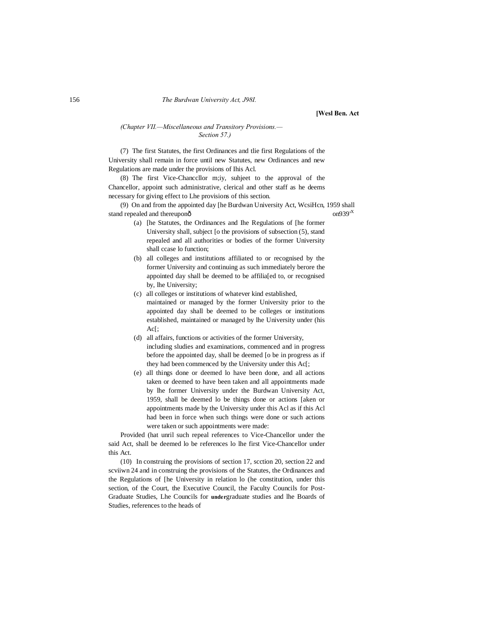#### **[Wesl Ben. Act**

#### *(Chapter VII.—Miscellaneous and Transitory Provisions.— Section 57.)*

(7) The first Statutes, the first Ordinances and tlie first Regulations of the University shall remain in force until new Statutes, new Ordinances and new Regulations are made under the provisions of Ihis Acl.

(8) The first Vice-Chanccllor m;iy, suhjeet to the approval of the Chancellor, appoint such administrative, clerical and other staff as he deems necessary for giving effect to Lhe provisions of this section.

(9) On and from the appointed day [he Burdwan University Act, WcsiHcn, 1959 shall stand repealed and thereupon $\hat{O}$  on  $939^{\text{X}}$ 

- (a) [he Statutes, the Ordinances and Ihe Regulations of [he former University shall, subject [o the provisions of subsection (5), stand repealed and all authorities or bodies of the former University shall ccase lo function;
- (b) all colleges and institutions affiliated to or recognised by the former University and continuing as such immediately berore the appointed day shall be deemed to be affilia[ed to, or recognised by, lhe University;
- (c) all colleges or institutions of whatever kind established, maintained or managed by the former University prior to the appointed day shall be deemed to be colleges or institutions established, maintained or managed by lhe University under (his Ac[;
- (d) all affairs, functions or activities of the former University, including sludies and examinations, commenced and in progress before the appointed day, shall be deemed [o be in progress as if they had been commenced by the University under this Ac[;
- (e) all things done or deemed lo have been done, and all actions taken or deemed to have been taken and all appointments made by lhe former University under the Burdwan University Act, 1959, shall be deemed lo be things done or actions [aken or appointments made by the University under this Acl as if this Acl had been in force when such things were done or such actions were taken or such appointments were made:

Provided (hat unril such repeal references to Vice-Chancellor under the said Act, shall be deemed lo be references lo lhe first Vice-Chancellor under this Act.

(10) In construing the provisions of section 17, scction 20, section 22 and scviiwn 24 and in construing the provisions of the Statutes, the Ordinances and the Regulations of [he University in relation lo (he constitution, under this section, of the Court, the Executive Council, the Faculty Councils for Post-Graduate Studies, Lhe Councils for **under**graduate studies and lhe Boards of Studies, references to the heads of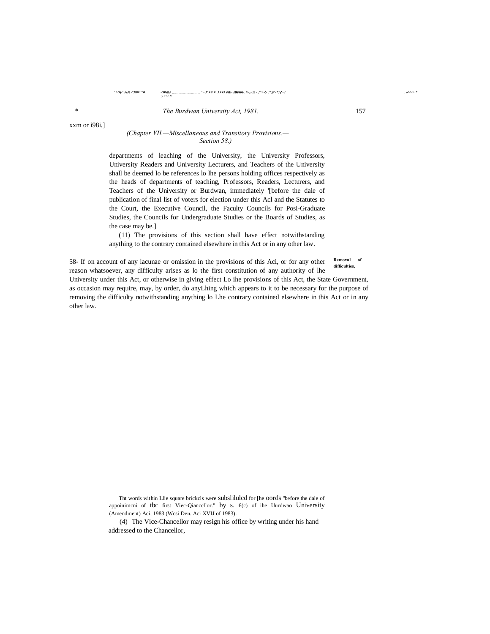#### >'•;-" •' •" -"• •'•,'"•' -'••'•• • ............................ .. " - •'• V •: •• •• •••- •••••,•.-. V-L-:O - S\* > —;\*; -\*: -7 ; »>>>:\* ;»RS^.Y

*\* The Burdwan University Act, 1981.* 157

xxm or i98i.]

#### *(Chapter VII.—Miscellaneous and Transitory Provisions.— Section 58.)*

departments of leaching of the University, the University Professors, University Readers and University Lecturers, and Teachers of the University shall be deemed lo be references lo lhe persons holding offices respectively as the heads of departments of teaching, Professors, Readers, Lecturers, and Teachers of the University or Burdwan, immediately '[before the dale of publication of final list of voters for election under this Acl and the Statutes to the Court, the Executive Council, the Faculty Councils for Posi-Graduate Studies, the Councils for Undergraduate Studies or the Boards of Studies, as the case may be.]

(11) The provisions of this section shall have effect notwithstanding anything to the contrary contained elsewhere in this Act or in any other law.

**Removal of difficulties,** 58- If on account of any lacunae or omission in the provisions of this Aci, or for any other reason whatsoever, any difficulty arises as lo the first constitution of any authority of lhe University under this Act, or otherwise in giving effect Lo ihe provisions of this Act, the State Government, as occasion may require, may, by order, do anyLhing which appears to it to be necessary for the purpose of removing the difficulty notwithstanding anything lo Lhe contrary contained elsewhere in this Act or in any other law.

> Tht words within Llie square brickcls were subslilulcd for [he oords "before the dale of appoinimcni of tbc first Viec-Qianccllor." by s. 6(c) of ihe Uurdwao University (Amendment) Aci, 1983 (Wcsi Den. Aci XVIJ of 1983).

(4) The Vice-Chancellor may resign his office by writing under his hand addressed to the Chancellor,